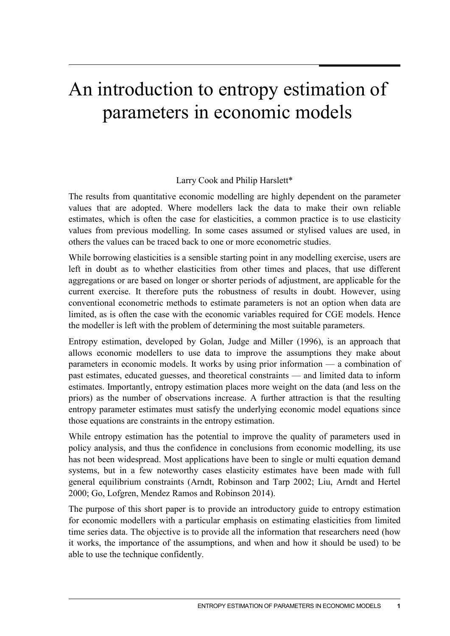# An introduction to entropy estimation of parameters in economic models

#### Larry Cook and Philip Harslett\*

The results from quantitative economic modelling are highly dependent on the parameter values that are adopted. Where modellers lack the data to make their own reliable estimates, which is often the case for elasticities, a common practice is to use elasticity values from previous modelling. In some cases assumed or stylised values are used, in others the values can be traced back to one or more econometric studies.

While borrowing elasticities is a sensible starting point in any modelling exercise, users are left in doubt as to whether elasticities from other times and places, that use different aggregations or are based on longer or shorter periods of adjustment, are applicable for the current exercise. It therefore puts the robustness of results in doubt. However, using conventional econometric methods to estimate parameters is not an option when data are limited, as is often the case with the economic variables required for CGE models. Hence the modeller is left with the problem of determining the most suitable parameters.

Entropy estimation, developed by Golan, Judge and Miller (1996), is an approach that allows economic modellers to use data to improve the assumptions they make about parameters in economic models. It works by using prior information — a combination of past estimates, educated guesses, and theoretical constraints — and limited data to inform estimates. Importantly, entropy estimation places more weight on the data (and less on the priors) as the number of observations increase. A further attraction is that the resulting entropy parameter estimates must satisfy the underlying economic model equations since those equations are constraints in the entropy estimation.

While entropy estimation has the potential to improve the quality of parameters used in policy analysis, and thus the confidence in conclusions from economic modelling, its use has not been widespread. Most applications have been to single or multi equation demand systems, but in a few noteworthy cases elasticity estimates have been made with full general equilibrium constraints (Arndt, Robinson and Tarp 2002; Liu, Arndt and Hertel 2000; Go, Lofgren, Mendez Ramos and Robinson 2014).

The purpose of this short paper is to provide an introductory guide to entropy estimation for economic modellers with a particular emphasis on estimating elasticities from limited time series data. The objective is to provide all the information that researchers need (how it works, the importance of the assumptions, and when and how it should be used) to be able to use the technique confidently.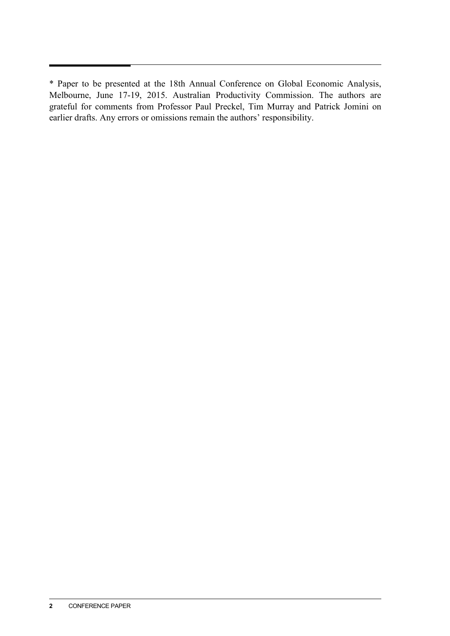<sup>\*</sup> Paper to be presented at the 18th Annual Conference on Global Economic Analysis, Melbourne, June 17-19, 2015. Australian Productivity Commission. The authors are grateful for comments from Professor Paul Preckel, Tim Murray and Patrick Jomini on earlier drafts. Any errors or omissions remain the authors' responsibility.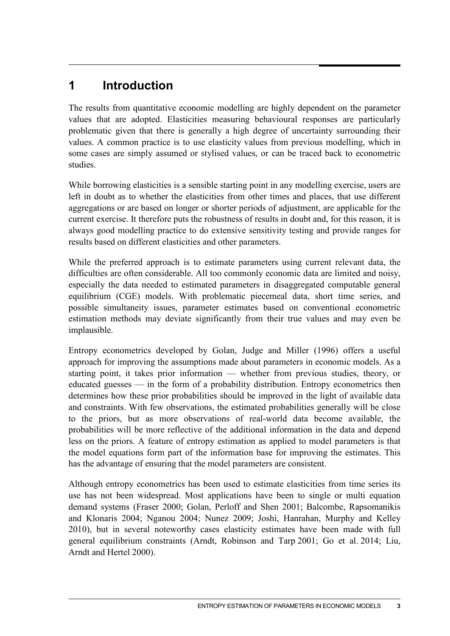## **1 Introduction**

The results from quantitative economic modelling are highly dependent on the parameter values that are adopted. Elasticities measuring behavioural responses are particularly problematic given that there is generally a high degree of uncertainty surrounding their values. A common practice is to use elasticity values from previous modelling, which in some cases are simply assumed or stylised values, or can be traced back to econometric studies.

While borrowing elasticities is a sensible starting point in any modelling exercise, users are left in doubt as to whether the elasticities from other times and places, that use different aggregations or are based on longer or shorter periods of adjustment, are applicable for the current exercise. It therefore puts the robustness of results in doubt and, for this reason, it is always good modelling practice to do extensive sensitivity testing and provide ranges for results based on different elasticities and other parameters.

While the preferred approach is to estimate parameters using current relevant data, the difficulties are often considerable. All too commonly economic data are limited and noisy, especially the data needed to estimated parameters in disaggregated computable general equilibrium (CGE) models. With problematic piecemeal data, short time series, and possible simultaneity issues, parameter estimates based on conventional econometric estimation methods may deviate significantly from their true values and may even be implausible.

Entropy econometrics developed by Golan, Judge and Miller (1996) offers a useful approach for improving the assumptions made about parameters in economic models. As a starting point, it takes prior information — whether from previous studies, theory, or educated guesses — in the form of a probability distribution. Entropy econometrics then determines how these prior probabilities should be improved in the light of available data and constraints. With few observations, the estimated probabilities generally will be close to the priors, but as more observations of real-world data become available, the probabilities will be more reflective of the additional information in the data and depend less on the priors. A feature of entropy estimation as applied to model parameters is that the model equations form part of the information base for improving the estimates. This has the advantage of ensuring that the model parameters are consistent.

Although entropy econometrics has been used to estimate elasticities from time series its use has not been widespread. Most applications have been to single or multi equation demand systems (Fraser 2000; Golan, Perloff and Shen 2001; Balcombe, Rapsomanikis and Klonaris 2004; Nganou 2004; Nunez 2009; Joshi, Hanrahan, Murphy and Kelley 2010), but in several noteworthy cases elasticity estimates have been made with full general equilibrium constraints (Arndt, Robinson and Tarp 2001; Go et al. 2014; Liu, Arndt and Hertel 2000).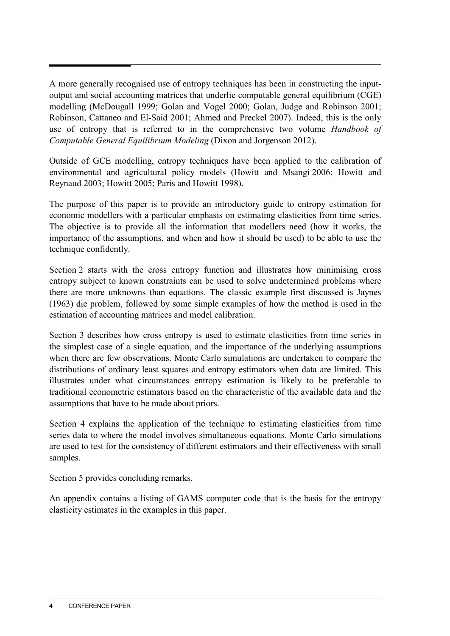A more generally recognised use of entropy techniques has been in constructing the inputoutput and social accounting matrices that underlie computable general equilibrium (CGE) modelling (McDougall 1999; Golan and Vogel 2000; Golan, Judge and Robinson 2001; Robinson, Cattaneo and El-Said 2001; Ahmed and Preckel 2007). Indeed, this is the only use of entropy that is referred to in the comprehensive two volume *Handbook of Computable General Equilibrium Modeling* (Dixon and Jorgenson 2012).

Outside of GCE modelling, entropy techniques have been applied to the calibration of environmental and agricultural policy models (Howitt and Msangi 2006; Howitt and Reynaud 2003; Howitt 2005; Paris and Howitt 1998).

The purpose of this paper is to provide an introductory guide to entropy estimation for economic modellers with a particular emphasis on estimating elasticities from time series. The objective is to provide all the information that modellers need (how it works, the importance of the assumptions, and when and how it should be used) to be able to use the technique confidently.

Section 2 starts with the cross entropy function and illustrates how minimising cross entropy subject to known constraints can be used to solve undetermined problems where there are more unknowns than equations. The classic example first discussed is Jaynes (1963) die problem, followed by some simple examples of how the method is used in the estimation of accounting matrices and model calibration.

Section 3 describes how cross entropy is used to estimate elasticities from time series in the simplest case of a single equation, and the importance of the underlying assumptions when there are few observations. Monte Carlo simulations are undertaken to compare the distributions of ordinary least squares and entropy estimators when data are limited. This illustrates under what circumstances entropy estimation is likely to be preferable to traditional econometric estimators based on the characteristic of the available data and the assumptions that have to be made about priors.

Section 4 explains the application of the technique to estimating elasticities from time series data to where the model involves simultaneous equations. Monte Carlo simulations are used to test for the consistency of different estimators and their effectiveness with small samples.

Section 5 provides concluding remarks.

An appendix contains a listing of GAMS computer code that is the basis for the entropy elasticity estimates in the examples in this paper.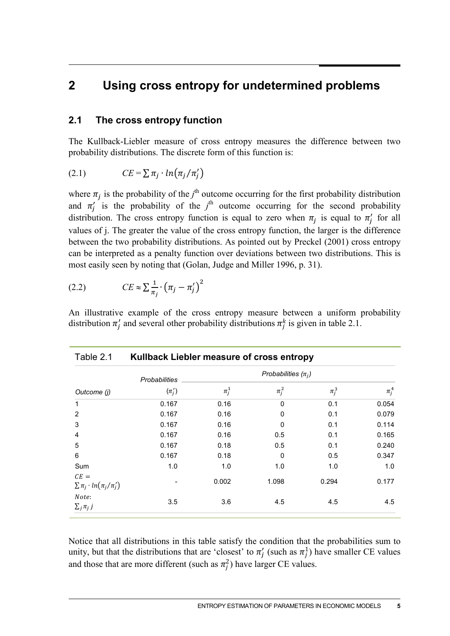## **2 Using cross entropy for undetermined problems**

#### **2.1 The cross entropy function**

The Kullback-Liebler measure of cross entropy measures the difference between two probability distributions. The discrete form of this function is:

$$
(2.1) \t CE = \sum \pi_j \cdot ln(\pi_j/\pi'_j)
$$

where  $\pi_j$  is the probability of the *j*<sup>th</sup> outcome occurring for the first probability distribution and  $\pi'_j$  is the probability of the  $j^{\text{th}}$  outcome occurring for the second probability distribution. The cross entropy function is equal to zero when  $\pi_j$  is equal to  $\pi'_j$  for all values of j. The greater the value of the cross entropy function, the larger is the difference between the two probability distributions. As pointed out by Preckel (2001) cross entropy can be interpreted as a penalty function over deviations between two distributions. This is most easily seen by noting that (Golan, Judge and Miller 1996, p. 31).

$$
(2.2) \t CE \approx \sum \frac{1}{\pi_j} \cdot (\pi_j - \pi'_j)^2
$$

An illustrative example of the cross entropy measure between a uniform probability distribution  $\pi'_j$  and several other probability distributions  $\pi''_j$  is given in table 2.1.

| Table 2.1                                     | Kullback Liebler measure of cross entropy |                         |             |           |           |
|-----------------------------------------------|-------------------------------------------|-------------------------|-------------|-----------|-----------|
|                                               | <b>Probabilities</b>                      | Probabilities $(\pi_i)$ |             |           |           |
| Outcome (j)                                   | $(\pi'_i)$                                | $\pi_i^1$               | $\pi_i^2$   | $\pi_i^3$ | $\pi_i^4$ |
| $\mathbf 1$                                   | 0.167                                     | 0.16                    | $\mathbf 0$ | 0.1       | 0.054     |
| $\overline{2}$                                | 0.167                                     | 0.16                    | 0           | 0.1       | 0.079     |
| 3                                             | 0.167                                     | 0.16                    | 0           | 0.1       | 0.114     |
| 4                                             | 0.167                                     | 0.16                    | 0.5         | 0.1       | 0.165     |
| 5                                             | 0.167                                     | 0.18                    | 0.5         | 0.1       | 0.240     |
| 6                                             | 0.167                                     | 0.18                    | 0           | 0.5       | 0.347     |
| Sum                                           | 1.0                                       | 1.0                     | 1.0         | 1.0       | 1.0       |
| $CE =$<br>$\sum \pi_i \cdot ln(\pi_i/\pi'_i)$ |                                           | 0.002                   | 1.098       | 0.294     | 0.177     |
| Note:<br>$\sum_j \pi_j j$                     | 3.5                                       | 3.6                     | 4.5         | 4.5       | 4.5       |

Notice that all distributions in this table satisfy the condition that the probabilities sum to unity, but that the distributions that are 'closest' to  $\pi'_j$  (such as  $\pi^1_j$ ) have smaller CE values and those that are more different (such as  $\pi_j^2$ ) have larger CE values.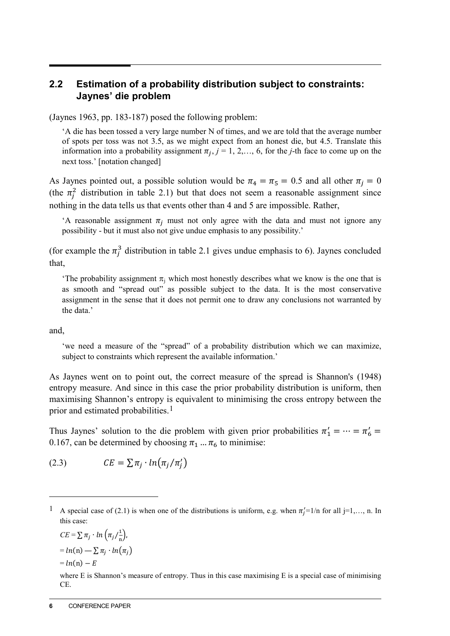### **2.2 Estimation of a probability distribution subject to constraints: Jaynes' die problem**

(Jaynes 1963, pp. 183-187) posed the following problem:

'A die has been tossed a very large number N of times, and we are told that the average number of spots per toss was not 3.5, as we might expect from an honest die, but 4.5. Translate this information into a probability assignment  $\pi_{i}$ ,  $j = 1, 2, \ldots, 6$ , for the *j*-th face to come up on the next toss.' [notation changed]

As Jaynes pointed out, a possible solution would be  $\pi_4 = \pi_5 = 0.5$  and all other  $\pi_i = 0$ (the  $\pi_j^2$  distribution in table 2.1) but that does not seem a reasonable assignment since nothing in the data tells us that events other than 4 and 5 are impossible. Rather,

'A reasonable assignment  $\pi_i$  must not only agree with the data and must not ignore any possibility - but it must also not give undue emphasis to any possibility.'

(for example the  $\pi_j^3$  distribution in table 2.1 gives undue emphasis to 6). Jaynes concluded that,

'The probability assignment  $\pi_i$  which most honestly describes what we know is the one that is as smooth and "spread out" as possible subject to the data. It is the most conservative assignment in the sense that it does not permit one to draw any conclusions not warranted by the data.'

and,

 $\overline{a}$ 

'we need a measure of the "spread" of a probability distribution which we can maximize, subject to constraints which represent the available information.'

As Jaynes went on to point out, the correct measure of the spread is Shannon's (1948) entropy measure. And since in this case the prior probability distribution is uniform, then maximising Shannon's entropy is equivalent to minimising the cross entropy between the prior and estimated probabilities.<sup>[1](#page-5-0)</sup>

Thus Jaynes' solution to the die problem with given prior probabilities  $\pi'_1 = \cdots = \pi'_6 =$ 0.167, can be determined by choosing  $\pi_1 \dots \pi_6$  to minimise:

(2.3) 
$$
CE = \sum \pi_j \cdot ln(\pi_j/\pi'_j)
$$

 $CE = \sum \pi_j \cdot ln\left(\pi_j / \frac{1}{n}\right)$  $= ln(n) - \sum \pi_i \cdot ln(\pi_i)$  $= ln(n) - E$ 

<span id="page-5-0"></span><sup>&</sup>lt;sup>1</sup> A special case of (2.1) is when one of the distributions is uniform, e.g. when  $\pi_j' = 1/n$  for all j=1,..., n. In this case:

where E is Shannon's measure of entropy. Thus in this case maximising E is a special case of minimising CE.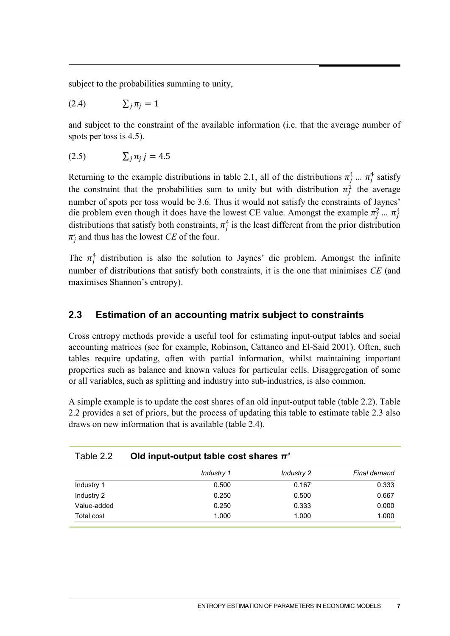subject to the probabilities summing to unity,

$$
(2.4) \qquad \qquad \sum_{j} \pi_{j} = 1
$$

and subject to the constraint of the available information (i.e. that the average number of spots per toss is 4.5).

$$
(2.5) \qquad \qquad \sum_j \pi_j \, j = 4.5
$$

Returning to the example distributions in table 2.1, all of the distributions  $\pi_j^1 \dots \pi_j^4$  satisfy the constraint that the probabilities sum to unity but with distribution  $\pi_j^1$  the average number of spots per toss would be 3.6. Thus it would not satisfy the constraints of Jaynes' die problem even though it does have the lowest CE value. Amongst the example  $\pi_j^2$  ...  $\pi_j^4$ distributions that satisfy both constraints,  $\pi_j^4$  is the least different from the prior distribution  $\pi_j'$  and thus has the lowest *CE* of the four.

The  $\pi_j^4$  distribution is also the solution to Jaynes' die problem. Amongst the infinite number of distributions that satisfy both constraints, it is the one that minimises *CE* (and maximises Shannon's entropy).

#### **2.3 Estimation of an accounting matrix subject to constraints**

Cross entropy methods provide a useful tool for estimating input-output tables and social accounting matrices (see for example, Robinson, Cattaneo and El-Said 2001). Often, such tables require updating, often with partial information, whilst maintaining important properties such as balance and known values for particular cells. Disaggregation of some or all variables, such as splitting and industry into sub-industries, is also common.

A simple example is to update the cost shares of an old input-output table (table 2.2). Table 2.2 provides a set of priors, but the process of updating this table to estimate table 2.3 also draws on new information that is available (table 2.4).

| Old input-output table cost shares $\pi$ ' |            |              |  |  |  |
|--------------------------------------------|------------|--------------|--|--|--|
| Industry 1                                 | Industry 2 | Final demand |  |  |  |
| 0.500                                      | 0.167      | 0.333        |  |  |  |
| 0.250                                      | 0.500      | 0.667        |  |  |  |
| 0.250                                      | 0.333      | 0.000        |  |  |  |
| 1.000                                      | 1.000      | 1.000        |  |  |  |
|                                            |            |              |  |  |  |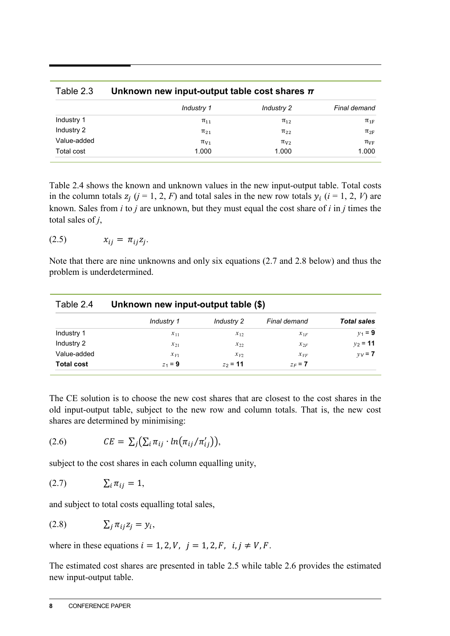| Table 2.3   | Unknown new input-output table cost shares $\pi$ |                   |                |  |  |  |
|-------------|--------------------------------------------------|-------------------|----------------|--|--|--|
|             | Industry 1                                       | <b>Industry 2</b> | Final demand   |  |  |  |
| Industry 1  | $\pi_{11}$                                       | $\pi_{12}$        | $\pi_{1F}$     |  |  |  |
| Industry 2  | $\pi_{21}$                                       | $\pi_{22}$        | $\pi_{2F}$     |  |  |  |
| Value-added | $\pi_{V1}$                                       | $\pi_{V2}$        | $\pi_{\rm VF}$ |  |  |  |
| Total cost  | 1.000                                            | 1.000             | 1.000          |  |  |  |

Table 2.4 shows the known and unknown values in the new input-output table. Total costs in the column totals  $z_i$  ( $j = 1, 2, F$ ) and total sales in the new row totals  $y_i$  ( $i = 1, 2, V$ ) are known. Sales from *i* to *j* are unknown, but they must equal the cost share of *i* in *j* times the total sales of *j*,

$$
(2.5) \t\t x_{ij} = \pi_{ij} z_j.
$$

Note that there are nine unknowns and only six equations (2.7 and 2.8 below) and thus the problem is underdetermined.

| Table 2.4         | Unknown new input-output table (\$) |            |              |                    |  |  |  |
|-------------------|-------------------------------------|------------|--------------|--------------------|--|--|--|
|                   | Industry 1                          | Industry 2 | Final demand | <b>Total sales</b> |  |  |  |
| Industry 1        | $x_{11}$                            | $x_{12}$   | $x_{1F}$     | $y_1 = 9$          |  |  |  |
| Industry 2        | $x_{21}$                            | $x_{22}$   | $x_{2F}$     | $v_2 = 11$         |  |  |  |
| Value-added       | $x_{V1}$                            | $x_{V2}$   | $\chi_{VF}$  | $v = 7$            |  |  |  |
| <b>Total cost</b> | $z_1 = 9$                           | $z_2$ = 11 | $z_F = 7$    |                    |  |  |  |

The CE solution is to choose the new cost shares that are closest to the cost shares in the old input-output table, subject to the new row and column totals. That is, the new cost shares are determined by minimising:

$$
(2.6) \t CE = \sum_j (\sum_i \pi_{ij} \cdot ln(\pi_{ij}/\pi'_{ij})),
$$

subject to the cost shares in each column equalling unity,

$$
(2.7) \qquad \qquad \sum_i \pi_{ij} = 1,
$$

and subject to total costs equalling total sales,

$$
(2.8) \t\t \sum_j \pi_{ij} z_j = y_i,
$$

where in these equations  $i = 1, 2, V$ ,  $j = 1, 2, F$ ,  $i, j \neq V, F$ .

The estimated cost shares are presented in table 2.5 while table 2.6 provides the estimated new input-output table.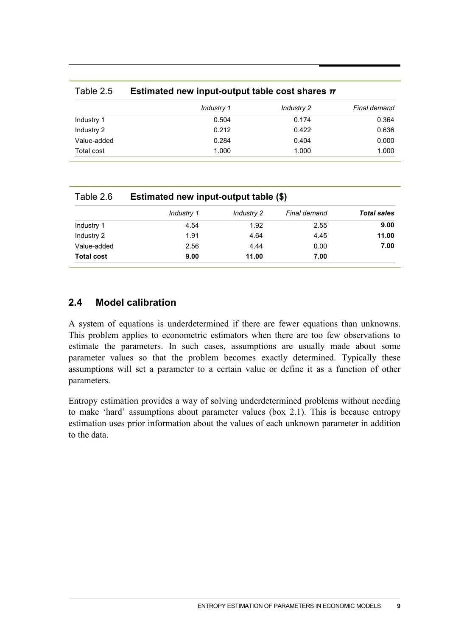|             | Industry 1 | Industry 2 | Final demand |
|-------------|------------|------------|--------------|
| Industry 1  | 0.504      | 0.174      | 0.364        |
| Industry 2  | 0.212      | 0.422      | 0.636        |
| Value-added | 0.284      | 0.404      | 0.000        |
| Total cost  | 1.000      | 1.000      | 1.000        |
|             |            |            |              |

| Table 2.6         | Estimated new input-output table (\$) |            |              |                    |  |  |  |
|-------------------|---------------------------------------|------------|--------------|--------------------|--|--|--|
|                   | Industry 1                            | Industry 2 | Final demand | <b>Total sales</b> |  |  |  |
| Industry 1        | 4.54                                  | 1.92       | 2.55         | 9.00               |  |  |  |
| Industry 2        | 1.91                                  | 4.64       | 4.45         | 11.00              |  |  |  |
| Value-added       | 2.56                                  | 4.44       | 0.00         | 7.00               |  |  |  |
| <b>Total cost</b> | 9.00                                  | 11.00      | 7.00         |                    |  |  |  |

#### **2.4 Model calibration**

A system of equations is underdetermined if there are fewer equations than unknowns. This problem applies to econometric estimators when there are too few observations to estimate the parameters. In such cases, assumptions are usually made about some parameter values so that the problem becomes exactly determined. Typically these assumptions will set a parameter to a certain value or define it as a function of other parameters.

Entropy estimation provides a way of solving underdetermined problems without needing to make 'hard' assumptions about parameter values (box 2.1). This is because entropy estimation uses prior information about the values of each unknown parameter in addition to the data.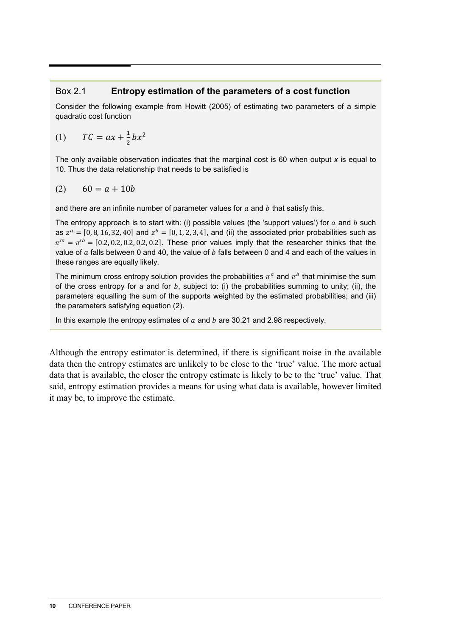#### Box 2.1 **Entropy estimation of the parameters of a cost function**

Consider the following example from Howitt (2005) of estimating two parameters of a simple quadratic cost function

$$
(1) \qquad TC = ax + \frac{1}{2}bx^2
$$

The only available observation indicates that the marginal cost is 60 when output *x* is equal to 10. Thus the data relationship that needs to be satisfied is

$$
(2) \qquad 60 = a + 10b
$$

and there are an infinite number of parameter values for  $a$  and  $b$  that satisfy this.

The entropy approach is to start with: (i) possible values (the 'support values') for  $a$  and  $b$  such as  $z^a = [0, 8, 16, 32, 40]$  and  $z^b = [0, 1, 2, 3, 4]$ , and (ii) the associated prior probabilities such as  $\pi^{\prime a} = \pi^{\prime b} = [0.2, 0.2, 0.2, 0.2, 0.2]$ . These prior values imply that the researcher thinks that the value of  $a$  falls between 0 and 40, the value of  $b$  falls between 0 and 4 and each of the values in these ranges are equally likely.

The minimum cross entropy solution provides the probabilities  $\pi^a$  and  $\pi^b$  that minimise the sum of the cross entropy for  $a$  and for  $b$ , subject to: (i) the probabilities summing to unity; (ii), the parameters equalling the sum of the supports weighted by the estimated probabilities; and (iii) the parameters satisfying equation (2).

In this example the entropy estimates of  $a$  and  $b$  are 30.21 and 2.98 respectively.

Although the entropy estimator is determined, if there is significant noise in the available data then the entropy estimates are unlikely to be close to the 'true' value. The more actual data that is available, the closer the entropy estimate is likely to be to the 'true' value. That said, entropy estimation provides a means for using what data is available, however limited it may be, to improve the estimate.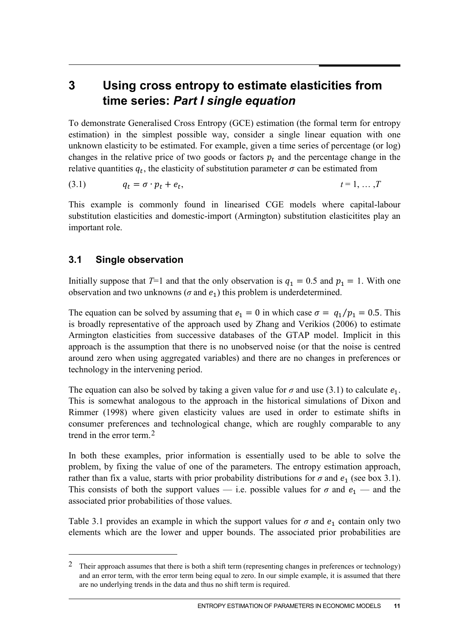## **3 Using cross entropy to estimate elasticities from time series:** *Part I single equation*

To demonstrate Generalised Cross Entropy (GCE) estimation (the formal term for entropy estimation) in the simplest possible way, consider a single linear equation with one unknown elasticity to be estimated. For example, given a time series of percentage (or log) changes in the relative price of two goods or factors  $p_t$  and the percentage change in the relative quantities  $q_t$ , the elasticity of substitution parameter  $\sigma$  can be estimated from

$$
(3.1) \t q_t = \sigma \cdot p_t + e_t, \t t = 1, \ldots, T
$$

This example is commonly found in linearised CGE models where capital-labour substitution elasticities and domestic-import (Armington) substitution elasticitites play an important role.

#### **3.1 Single observation**

-

Initially suppose that  $T=1$  and that the only observation is  $q_1 = 0.5$  and  $p_1 = 1$ . With one observation and two unknowns ( $\sigma$  and  $e_1$ ) this problem is underdetermined.

The equation can be solved by assuming that  $e_1 = 0$  in which case  $\sigma = q_1/p_1 = 0.5$ . This is broadly representative of the approach used by Zhang and Verikios (2006) to estimate Armington elasticities from successive databases of the GTAP model. Implicit in this approach is the assumption that there is no unobserved noise (or that the noise is centred around zero when using aggregated variables) and there are no changes in preferences or technology in the intervening period.

The equation can also be solved by taking a given value for  $\sigma$  and use (3.1) to calculate  $e_1$ . This is somewhat analogous to the approach in the historical simulations of Dixon and Rimmer (1998) where given elasticity values are used in order to estimate shifts in consumer preferences and technological change, which are roughly comparable to any trend in the error term.[2](#page-10-0)

In both these examples, prior information is essentially used to be able to solve the problem, by fixing the value of one of the parameters. The entropy estimation approach, rather than fix a value, starts with prior probability distributions for  $\sigma$  and  $e_1$  (see box 3.1). This consists of both the support values — i.e. possible values for  $\sigma$  and  $e_1$  — and the associated prior probabilities of those values.

Table 3.1 provides an example in which the support values for  $\sigma$  and  $e_1$  contain only two elements which are the lower and upper bounds. The associated prior probabilities are

<span id="page-10-0"></span><sup>&</sup>lt;sup>2</sup> Their approach assumes that there is both a shift term (representing changes in preferences or technology) and an error term, with the error term being equal to zero. In our simple example, it is assumed that there are no underlying trends in the data and thus no shift term is required.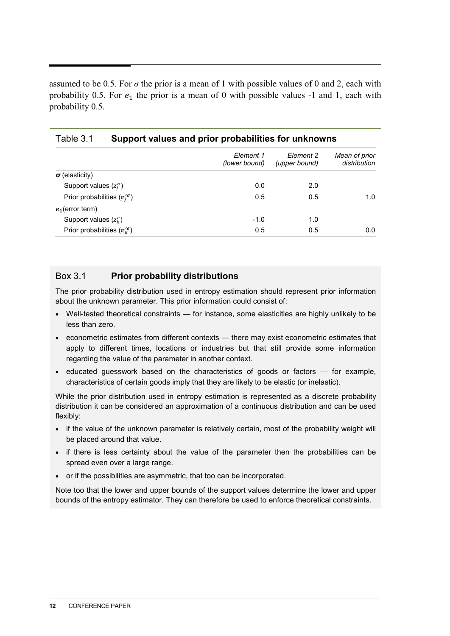assumed to be 0.5. For  $\sigma$  the prior is a mean of 1 with possible values of 0 and 2, each with probability 0.5. For  $e_1$  the prior is a mean of 0 with possible values -1 and 1, each with probability 0.5.

| Element 1     |                            |                               |
|---------------|----------------------------|-------------------------------|
| (lower bound) | Element 2<br>(upper bound) | Mean of prior<br>distribution |
|               |                            |                               |
| 0.0           | 2.0                        |                               |
| 0.5           | 0.5                        | 1.0                           |
|               |                            |                               |
| $-1.0$        | 1.0                        |                               |
| 0.5           | 0.5                        | 0.0                           |
|               |                            |                               |

#### Table 3.1 **Support values and prior probabilities for unknowns**

#### Box 3.1 **Prior probability distributions**

The prior probability distribution used in entropy estimation should represent prior information about the unknown parameter. This prior information could consist of:

- Well-tested theoretical constraints for instance, some elasticities are highly unlikely to be less than zero.
- econometric estimates from different contexts there may exist econometric estimates that apply to different times, locations or industries but that still provide some information regarding the value of the parameter in another context.
- educated guesswork based on the characteristics of goods or factors for example, characteristics of certain goods imply that they are likely to be elastic (or inelastic).

While the prior distribution used in entropy estimation is represented as a discrete probability distribution it can be considered an approximation of a continuous distribution and can be used flexibly:

- if the value of the unknown parameter is relatively certain, most of the probability weight will be placed around that value.
- if there is less certainty about the value of the parameter then the probabilities can be spread even over a large range.
- or if the possibilities are asymmetric, that too can be incorporated.

Note too that the lower and upper bounds of the support values determine the lower and upper bounds of the entropy estimator. They can therefore be used to enforce theoretical constraints.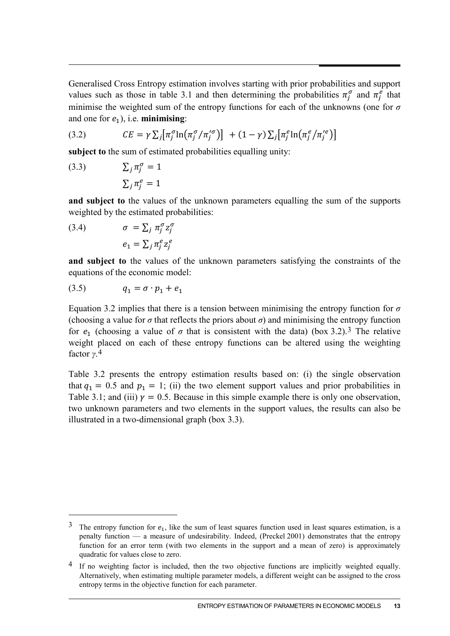Generalised Cross Entropy estimation involves starting with prior probabilities and support values such as those in table 3.1 and then determining the probabilities  $\pi_j^{\sigma}$  and  $\pi_j^e$  that minimise the weighted sum of the entropy functions for each of the unknowns (one for *σ* and one for  $e_1$ ), i.e. **minimising**:

(3.2) 
$$
CE = \gamma \sum_j [\pi_j^{\sigma} \ln(\pi_j^{\sigma}/\pi_j^{\prime \sigma})] + (1 - \gamma) \sum_j [\pi_j^e \ln(\pi_j^e/\pi_j^{\prime e})]
$$

**subject to** the sum of estimated probabilities equalling unity:

(3.3) 
$$
\sum_{j} \pi_{j}^{\sigma} = 1
$$

$$
\sum_{j} \pi_{j}^{\epsilon} = 1
$$

**and subject to** the values of the unknown parameters equalling the sum of the supports weighted by the estimated probabilities:

(3.4) 
$$
\sigma = \sum_{j} \pi_{j}^{\sigma} z_{j}^{\sigma}
$$

$$
e_{1} = \sum_{j} \pi_{j}^{e} z_{j}^{e}
$$

**and subject to** the values of the unknown parameters satisfying the constraints of the equations of the economic model:

$$
(3.5) \t q_1 = \sigma \cdot p_1 + e_1
$$

-

Equation 3.2 implies that there is a tension between minimising the entropy function for *σ* (choosing a value for  $\sigma$  that reflects the priors about  $\sigma$ ) and minimising the entropy function for  $e_1$  (choosing a value of  $\sigma$  that is consistent with the data) (box [3](#page-12-0).2).<sup>3</sup> The relative weight placed on each of these entropy functions can be altered using the weighting factor *γ*.[4](#page-12-1)

Table 3.2 presents the entropy estimation results based on: (i) the single observation that  $q_1 = 0.5$  and  $p_1 = 1$ ; (ii) the two element support values and prior probabilities in Table 3.1; and (iii)  $\gamma = 0.5$ . Because in this simple example there is only one observation, two unknown parameters and two elements in the support values, the results can also be illustrated in a two-dimensional graph (box 3.3).

<span id="page-12-0"></span><sup>&</sup>lt;sup>3</sup> The entropy function for  $e_1$ , like the sum of least squares function used in least squares estimation, is a penalty function — a measure of undesirability. Indeed, (Preckel 2001) demonstrates that the entropy function for an error term (with two elements in the support and a mean of zero) is approximately quadratic for values close to zero.

<span id="page-12-1"></span><sup>4</sup> If no weighting factor is included, then the two objective functions are implicitly weighted equally. Alternatively, when estimating multiple parameter models, a different weight can be assigned to the cross entropy terms in the objective function for each parameter.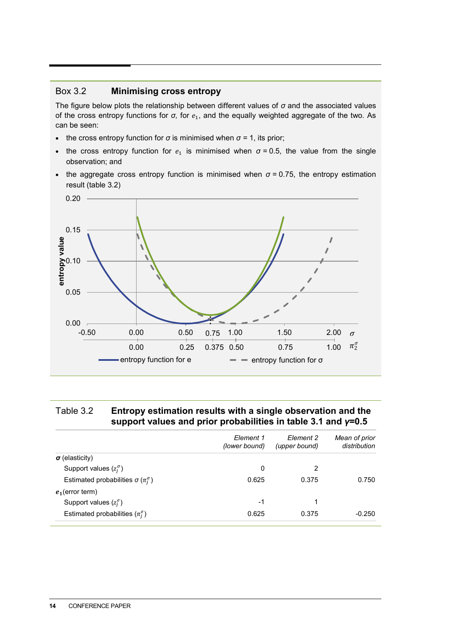#### Box 3.2 **Minimising cross entropy**

The figure below plots the relationship between different values of *σ* and the associated values of the cross entropy functions for *σ*, for  $e_1$ , and the equally weighted aggregate of the two. As can be seen:

- the cross entropy function for  $\sigma$  is minimised when  $\sigma$  = 1, its prior;
- the cross entropy function for  $e_1$  is minimised when  $\sigma$  = 0.5, the value from the single observation; and
- the aggregate cross entropy function is minimised when  $\sigma$  = 0.75, the entropy estimation result (table 3.2)



#### Table 3.2 **Entropy estimation results with a single observation and the support values and prior probabilities in table 3.1 and** *γ***=0.5**

|                                                  | Element 1<br>(lower bound) | Element 2<br>(upper bound) | Mean of prior<br>distribution |
|--------------------------------------------------|----------------------------|----------------------------|-------------------------------|
| $\sigma$ (elasticity)                            |                            |                            |                               |
| Support values $(z_i^{\sigma})$                  | 0                          | 2                          |                               |
| Estimated probabilities $\sigma(\pi_i^{\sigma})$ | 0.625                      | 0.375                      | 0.750                         |
| $e_1$ (error term)                               |                            |                            |                               |
| Support values $(z_i^e)$                         | -1                         |                            |                               |
| Estimated probabilities $(\pi_i^e)$              | 0.625                      | 0.375                      | $-0.250$                      |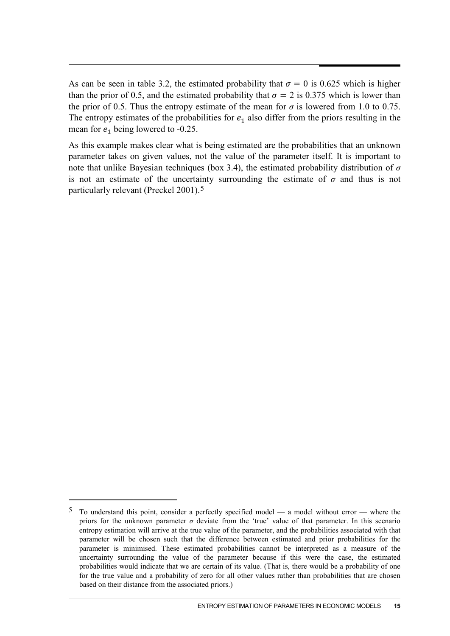As can be seen in table 3.2, the estimated probability that  $\sigma = 0$  is 0.625 which is higher than the prior of 0.5, and the estimated probability that  $\sigma = 2$  is 0.375 which is lower than the prior of 0.5. Thus the entropy estimate of the mean for  $\sigma$  is lowered from 1.0 to 0.75. The entropy estimates of the probabilities for  $e_1$  also differ from the priors resulting in the mean for  $e_1$  being lowered to -0.25.

As this example makes clear what is being estimated are the probabilities that an unknown parameter takes on given values, not the value of the parameter itself. It is important to note that unlike Bayesian techniques (box 3.4), the estimated probability distribution of *σ* is not an estimate of the uncertainty surrounding the estimate of  $\sigma$  and thus is not particularly relevant (Preckel 2001).[5](#page-14-0)

-

<span id="page-14-0"></span><sup>5</sup> To understand this point, consider a perfectly specified model — a model without error — where the priors for the unknown parameter  $\sigma$  deviate from the 'true' value of that parameter. In this scenario entropy estimation will arrive at the true value of the parameter, and the probabilities associated with that parameter will be chosen such that the difference between estimated and prior probabilities for the parameter is minimised. These estimated probabilities cannot be interpreted as a measure of the uncertainty surrounding the value of the parameter because if this were the case, the estimated probabilities would indicate that we are certain of its value. (That is, there would be a probability of one for the true value and a probability of zero for all other values rather than probabilities that are chosen based on their distance from the associated priors.)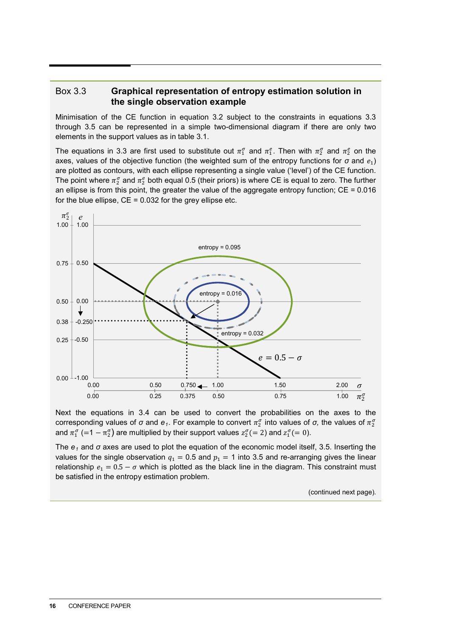#### Box 3.3 **Graphical representation of entropy estimation solution in the single observation example**

Minimisation of the CE function in equation 3.2 subject to the constraints in equations 3.3 through 3.5 can be represented in a simple two-dimensional diagram if there are only two elements in the support values as in table 3.1.

The equations in 3.3 are first used to substitute out  $\pi_1^{\sigma}$  and  $\pi_1^e$ . Then with  $\pi_2^{\sigma}$  and  $\pi_2^e$  on the axes, values of the objective function (the weighted sum of the entropy functions for  $\sigma$  and  $e_1$ ) are plotted as contours, with each ellipse representing a single value ('level') of the CE function. The point where  $\pi_2^{\sigma}$  and  $\pi_2^e$  both equal 0.5 (their priors) is where CE is equal to zero. The further an ellipse is from this point, the greater the value of the aggregate entropy function;  $CE = 0.016$ for the blue ellipse,  $CE = 0.032$  for the grey ellipse etc.



Next the equations in 3.4 can be used to convert the probabilities on the axes to the corresponding values of *σ* and *e<sub>1</sub>*. For example to convert  $\pi_2^{\sigma}$  into values of *σ*, the values of  $\pi_2^{\sigma}$ and  $\pi_1^{\sigma}$  (=1 -  $\pi_2^{\sigma}$ ) are multiplied by their support values  $z_2^{\sigma}$ (= 2) and  $z_1^{\sigma}$ (= 0).

The  $e_1$  and  $\sigma$  axes are used to plot the equation of the economic model itself, 3.5. Inserting the values for the single observation  $q_1 = 0.5$  and  $p_1 = 1$  into 3.5 and re-arranging gives the linear relationship  $e_1 = 0.5 - \sigma$  which is plotted as the black line in the diagram. This constraint must be satisfied in the entropy estimation problem.

(continued next page).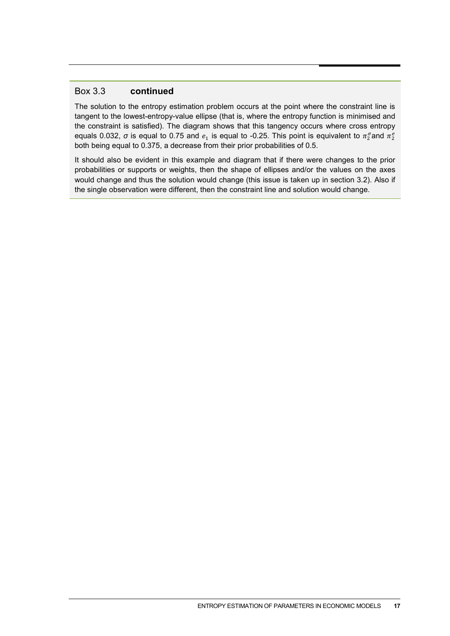#### Box 3.3 **continued**

The solution to the entropy estimation problem occurs at the point where the constraint line is tangent to the lowest-entropy-value ellipse (that is, where the entropy function is minimised and the constraint is satisfied). The diagram shows that this tangency occurs where cross entropy equals 0.032,  $\sigma$  is equal to 0.75 and  $e_1$  is equal to -0.25. This point is equivalent to  $\pi_2^\sigma$ and  $\pi_2^e$ both being equal to 0.375, a decrease from their prior probabilities of 0.5.

It should also be evident in this example and diagram that if there were changes to the prior probabilities or supports or weights, then the shape of ellipses and/or the values on the axes would change and thus the solution would change (this issue is taken up in section 3.2). Also if the single observation were different, then the constraint line and solution would change.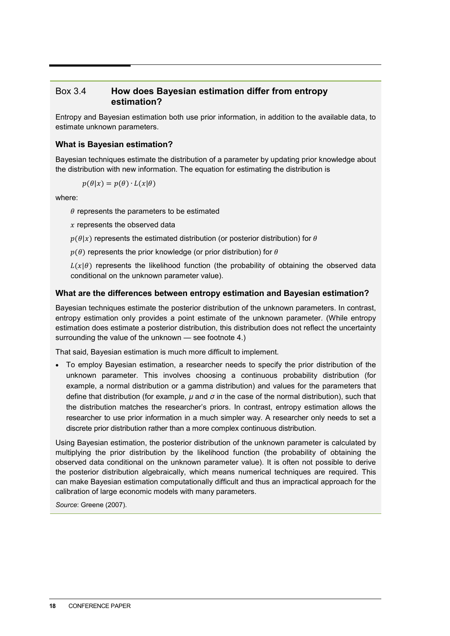#### Box 3.4 **How does Bayesian estimation differ from entropy estimation?**

Entropy and Bayesian estimation both use prior information, in addition to the available data, to estimate unknown parameters.

#### **What is Bayesian estimation?**

Bayesian techniques estimate the distribution of a parameter by updating prior knowledge about the distribution with new information. The equation for estimating the distribution is

$$
p(\theta | x) = p(\theta) \cdot L(x | \theta)
$$

where:

 $\theta$  represents the parameters to be estimated

 $x$  represents the observed data

 $p(\theta|x)$  represents the estimated distribution (or posterior distribution) for  $\theta$ 

 $p(\theta)$  represents the prior knowledge (or prior distribution) for  $\theta$ 

 $L(x|\theta)$  represents the likelihood function (the probability of obtaining the observed data conditional on the unknown parameter value).

#### **What are the differences between entropy estimation and Bayesian estimation?**

Bayesian techniques estimate the posterior distribution of the unknown parameters. In contrast, entropy estimation only provides a point estimate of the unknown parameter. (While entropy estimation does estimate a posterior distribution, this distribution does not reflect the uncertainty surrounding the value of the unknown — see footnote 4.)

That said, Bayesian estimation is much more difficult to implement.

• To employ Bayesian estimation, a researcher needs to specify the prior distribution of the unknown parameter. This involves choosing a continuous probability distribution (for example, a normal distribution or a gamma distribution) and values for the parameters that define that distribution (for example, *µ* and *σ* in the case of the normal distribution), such that the distribution matches the researcher's priors. In contrast, entropy estimation allows the researcher to use prior information in a much simpler way. A researcher only needs to set a discrete prior distribution rather than a more complex continuous distribution.

Using Bayesian estimation, the posterior distribution of the unknown parameter is calculated by multiplying the prior distribution by the likelihood function (the probability of obtaining the observed data conditional on the unknown parameter value). It is often not possible to derive the posterior distribution algebraically, which means numerical techniques are required. This can make Bayesian estimation computationally difficult and thus an impractical approach for the calibration of large economic models with many parameters.

*Source*: Greene (2007).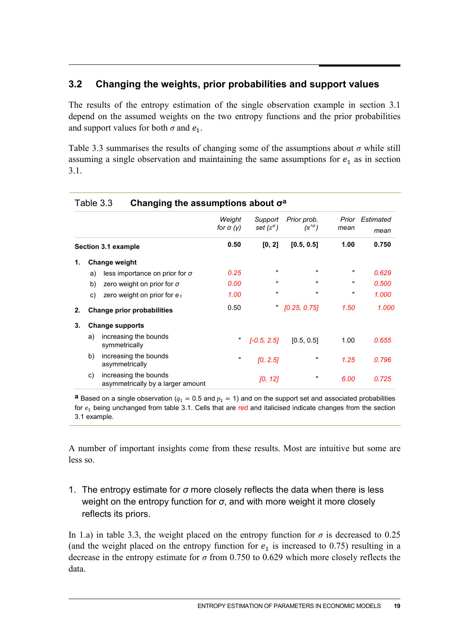### **3.2 Changing the weights, prior probabilities and support values**

The results of the entropy estimation of the single observation example in section 3.1 depend on the assumed weights on the two entropy functions and the prior probabilities and support values for both  $\sigma$  and  $e_1$ .

Table 3.3 summarises the results of changing some of the assumptions about *σ* while still assuming a single observation and maintaining the same assumptions for  $e_1$  as in section 3.1.

|    |    |                                                            | Weight<br>for $\sigma$ (y) | Support<br>set $(z^{\sigma})$ | Prior prob.<br>$(\pi'\sigma)$ | mean | Prior Estimated<br>mean |
|----|----|------------------------------------------------------------|----------------------------|-------------------------------|-------------------------------|------|-------------------------|
|    |    | Section 3.1 example                                        | 0.50                       | [0, 2]                        | [0.5, 0.5]                    | 1.00 | 0.750                   |
| 1. |    | <b>Change weight</b>                                       |                            |                               |                               |      |                         |
|    | a) | less importance on prior for $\sigma$                      | 0.25                       | $\mathbf{u}$                  | $\pmb{\mathsf{H}}$            |      | 0.629                   |
|    | b) | zero weight on prior for $\sigma$                          | 0.00                       | $\mathbf{H}$                  | ,                             |      | 0.500                   |
|    | C) | zero weight on prior for $e_1$                             | 1.00                       | $\mathbf{u}$                  |                               |      | 1.000                   |
| 2. |    | <b>Change prior probabilities</b>                          | 0.50                       | π.                            | [0.25, 0.75]                  | 1.50 | 1.000                   |
| 3. |    | <b>Change supports</b>                                     |                            |                               |                               |      |                         |
|    | a) | increasing the bounds<br>symmetrically                     | "                          | $[-0.5, 2.5]$                 | [0.5, 0.5]                    | 1.00 | 0.655                   |
|    | b) | increasing the bounds<br>asymmetrically                    | п                          | [0, 2.5]                      | 11                            | 1.25 | 0.796                   |
|    | C) | increasing the bounds<br>asymmetrically by a larger amount |                            | [0, 12]                       |                               | 6.00 | 0.725                   |

#### Table 3.3 **Changing the assumptions about σa**

**a** Based on a single observation ( $q_1 = 0.5$  and  $p_1 = 1$ ) and on the support set and associated probabilities for  $e_1$  being unchanged from table 3.1. Cells that are red and italicised indicate changes from the section 3.1 example.

A number of important insights come from these results. Most are intuitive but some are less so.

1. The entropy estimate for *σ* more closely reflects the data when there is less weight on the entropy function for *σ*, and with more weight it more closely reflects its priors.

In 1.a) in table 3.3, the weight placed on the entropy function for  $\sigma$  is decreased to 0.25 (and the weight placed on the entropy function for  $e_1$  is increased to 0.75) resulting in a decrease in the entropy estimate for *σ* from 0.750 to 0.629 which more closely reflects the data.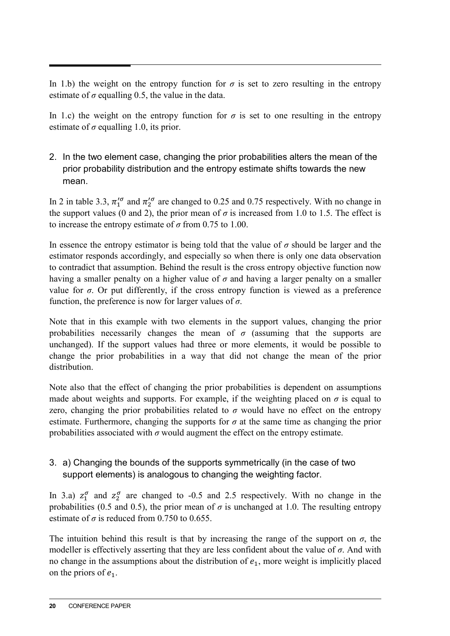In 1.b) the weight on the entropy function for  $\sigma$  is set to zero resulting in the entropy estimate of  $\sigma$  equalling 0.5, the value in the data.

In 1.c) the weight on the entropy function for  $\sigma$  is set to one resulting in the entropy estimate of  $\sigma$  equalling 1.0, its prior.

2. In the two element case, changing the prior probabilities alters the mean of the prior probability distribution and the entropy estimate shifts towards the new mean.

In 2 in table 3.3,  $\pi_1^{\prime\sigma}$  and  $\pi_2^{\prime\sigma}$  are changed to 0.25 and 0.75 respectively. With no change in the support values (0 and 2), the prior mean of  $\sigma$  is increased from 1.0 to 1.5. The effect is to increase the entropy estimate of  $\sigma$  from 0.75 to 1.00.

In essence the entropy estimator is being told that the value of  $\sigma$  should be larger and the estimator responds accordingly, and especially so when there is only one data observation to contradict that assumption. Behind the result is the cross entropy objective function now having a smaller penalty on a higher value of *σ* and having a larger penalty on a smaller value for  $\sigma$ . Or put differently, if the cross entropy function is viewed as a preference function, the preference is now for larger values of *σ*.

Note that in this example with two elements in the support values, changing the prior probabilities necessarily changes the mean of  $\sigma$  (assuming that the supports are unchanged). If the support values had three or more elements, it would be possible to change the prior probabilities in a way that did not change the mean of the prior distribution.

Note also that the effect of changing the prior probabilities is dependent on assumptions made about weights and supports. For example, if the weighting placed on  $\sigma$  is equal to zero, changing the prior probabilities related to  $\sigma$  would have no effect on the entropy estimate. Furthermore, changing the supports for  $\sigma$  at the same time as changing the prior probabilities associated with  $\sigma$  would augment the effect on the entropy estimate.

#### 3. a) Changing the bounds of the supports symmetrically (in the case of two support elements) is analogous to changing the weighting factor.

In 3.a)  $z_1^{\sigma}$  and  $z_2^{\sigma}$  are changed to -0.5 and 2.5 respectively. With no change in the probabilities (0.5 and 0.5), the prior mean of  $\sigma$  is unchanged at 1.0. The resulting entropy estimate of  $\sigma$  is reduced from 0.750 to 0.655.

The intuition behind this result is that by increasing the range of the support on  $\sigma$ , the modeller is effectively asserting that they are less confident about the value of *σ*. And with no change in the assumptions about the distribution of  $e_1$ , more weight is implicitly placed on the priors of  $e_1$ .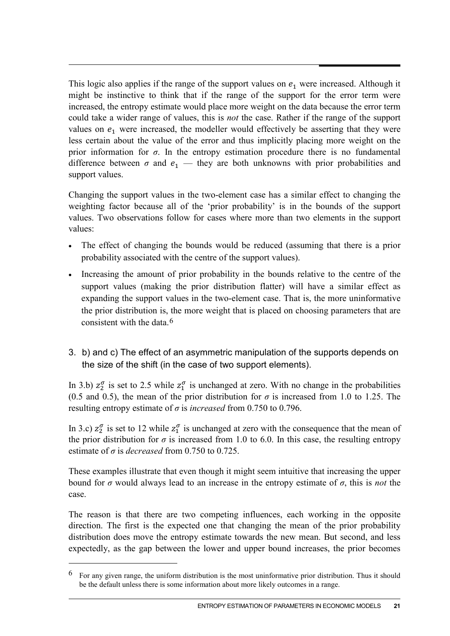This logic also applies if the range of the support values on  $e_1$  were increased. Although it might be instinctive to think that if the range of the support for the error term were increased, the entropy estimate would place more weight on the data because the error term could take a wider range of values, this is *not* the case. Rather if the range of the support values on  $e_1$  were increased, the modeller would effectively be asserting that they were less certain about the value of the error and thus implicitly placing more weight on the prior information for  $\sigma$ . In the entropy estimation procedure there is no fundamental difference between  $\sigma$  and  $e_1$  — they are both unknowns with prior probabilities and support values.

Changing the support values in the two-element case has a similar effect to changing the weighting factor because all of the 'prior probability' is in the bounds of the support values. Two observations follow for cases where more than two elements in the support values:

- The effect of changing the bounds would be reduced (assuming that there is a prior probability associated with the centre of the support values).
- Increasing the amount of prior probability in the bounds relative to the centre of the support values (making the prior distribution flatter) will have a similar effect as expanding the support values in the two-element case. That is, the more uninformative the prior distribution is, the more weight that is placed on choosing parameters that are consistent with the data.[6](#page-20-0)
- 3. b) and c) The effect of an asymmetric manipulation of the supports depends on the size of the shift (in the case of two support elements).

In 3.b)  $z_2^{\sigma}$  is set to 2.5 while  $z_1^{\sigma}$  is unchanged at zero. With no change in the probabilities (0.5 and 0.5), the mean of the prior distribution for  $\sigma$  is increased from 1.0 to 1.25. The resulting entropy estimate of *σ* is *increased* from 0.750 to 0.796.

In 3.c)  $z_2^{\sigma}$  is set to 12 while  $z_1^{\sigma}$  is unchanged at zero with the consequence that the mean of the prior distribution for  $\sigma$  is increased from 1.0 to 6.0. In this case, the resulting entropy estimate of  $\sigma$  is *decreased* from 0.750 to 0.725.

These examples illustrate that even though it might seem intuitive that increasing the upper bound for *σ* would always lead to an increase in the entropy estimate of *σ*, this is *not* the case.

The reason is that there are two competing influences, each working in the opposite direction. The first is the expected one that changing the mean of the prior probability distribution does move the entropy estimate towards the new mean. But second, and less expectedly, as the gap between the lower and upper bound increases, the prior becomes

-

<span id="page-20-0"></span><sup>&</sup>lt;sup>6</sup> For any given range, the uniform distribution is the most uninformative prior distribution. Thus it should be the default unless there is some information about more likely outcomes in a range.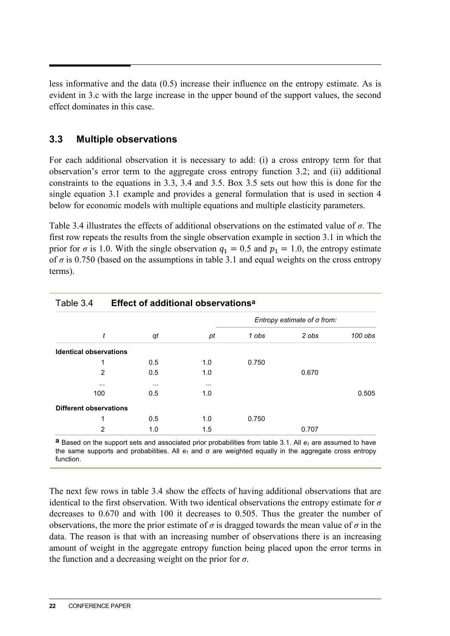less informative and the data (0.5) increase their influence on the entropy estimate. As is evident in 3.c with the large increase in the upper bound of the support values, the second effect dominates in this case.

#### **3.3 Multiple observations**

For each additional observation it is necessary to add: (i) a cross entropy term for that observation's error term to the aggregate cross entropy function 3.2; and (ii) additional constraints to the equations in 3.3, 3.4 and 3.5. Box 3.5 sets out how this is done for the single equation 3.1 example and provides a general formulation that is used in section 4 below for economic models with multiple equations and multiple elasticity parameters.

Table 3.4 illustrates the effects of additional observations on the estimated value of *σ*. The first row repeats the results from the single observation example in section 3.1 in which the prior for  $\sigma$  is 1.0. With the single observation  $q_1 = 0.5$  and  $p_1 = 1.0$ , the entropy estimate of  $\sigma$  is 0.750 (based on the assumptions in table 3.1 and equal weights on the cross entropy terms).

| Table 3.4<br>Effect of additional observations <sup>a</sup> |          |          |          |       |                                    |         |
|-------------------------------------------------------------|----------|----------|----------|-------|------------------------------------|---------|
|                                                             |          |          |          |       | Entropy estimate of $\sigma$ from: |         |
|                                                             | t        | qt       | pt       | 1 obs | 2 obs                              | 100 obs |
| <b>Identical observations</b>                               |          |          |          |       |                                    |         |
|                                                             |          | 0.5      | 1.0      | 0.750 |                                    |         |
|                                                             | 2        | 0.5      | 1.0      |       | 0.670                              |         |
|                                                             | $\cdots$ | $\cdots$ | $\cdots$ |       |                                    |         |
|                                                             | 100      | 0.5      | 1.0      |       |                                    | 0.505   |
| <b>Different observations</b>                               |          |          |          |       |                                    |         |
|                                                             |          | 0.5      | 1.0      | 0.750 |                                    |         |
|                                                             | 2        | 1.0      | 1.5      |       | 0.707                              |         |

**a** Based on the support sets and associated prior probabilities from table 3.1. All *et* are assumed to have the same supports and probabilities. All *et* and σ are weighted equally in the aggregate cross entropy function.

The next few rows in table 3.4 show the effects of having additional observations that are identical to the first observation. With two identical observations the entropy estimate for *σ* decreases to 0.670 and with 100 it decreases to 0.505. Thus the greater the number of observations, the more the prior estimate of  $\sigma$  is dragged towards the mean value of  $\sigma$  in the data. The reason is that with an increasing number of observations there is an increasing amount of weight in the aggregate entropy function being placed upon the error terms in the function and a decreasing weight on the prior for *σ*.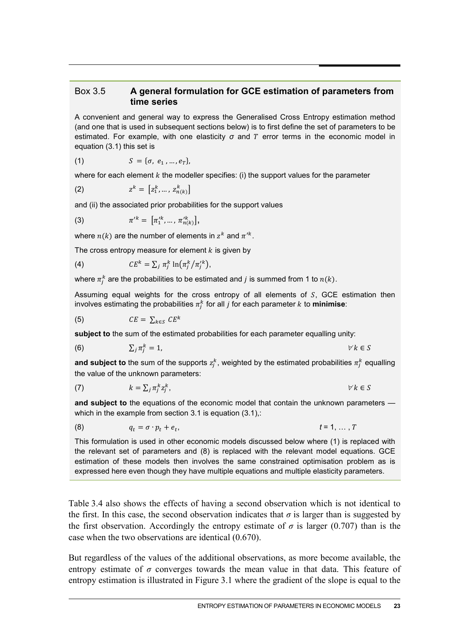#### Box 3.5 **A general formulation for GCE estimation of parameters from time series**

A convenient and general way to express the Generalised Cross Entropy estimation method (and one that is used in subsequent sections below) is to first define the set of parameters to be estimated. For example, with one elasticity  $\sigma$  and  $T$  error terms in the economic model in equation (3.1) this set is

(1) 
$$
S = \{\sigma, e_1, ..., e_T\},\
$$

where for each element  $k$  the modeller specifies: (i) the support values for the parameter

(2) 
$$
z^{k} = [z_{1}^{k}, ..., z_{n(k)}^{k}]
$$

and (ii) the associated prior probabilities for the support values

(3) 
$$
\pi'^k = [\pi'^k_1, ..., \pi'^k_{n(k)}],
$$

where  $n(k)$  are the number of elements in  $z^k$  and  $\pi'^k$ .

The cross entropy measure for element  $k$  is given by

(4) 
$$
CE^k = \sum_j \pi_j^k \ln(\pi_j^k / \pi_j'^k),
$$

where  $\pi^\kappa_j$  are the probabilities to be estimated and  $j$  is summed from 1 to  $n(k).$ 

Assuming equal weights for the cross entropy of all elements of  $S$ , GCE estimation then involves estimating the probabilities  $\pi^\kappa_j$  for all  $j$  for each parameter  $k$  to **minimise**:

$$
(5) \hspace{3.1em} CE = \sum_{k \in S} CE^k
$$

**subject to** the sum of the estimated probabilities for each parameter equalling unity:

$$
\sum_j \pi_j^k = 1, \qquad \qquad \forall k \in S
$$

**and subject to** the sum of the supports  $z_j^k$ , weighted by the estimated probabilities  $\pi_j^k$  equalling the value of the unknown parameters:

$$
(7) \t k = \sum_j \pi_j^k z_j^k, \t \forall k \in S
$$

**and subject to** the equations of the economic model that contain the unknown parameters which in the example from section 3.1 is equation (3.1),:

$$
(8) \t\t q_t = \sigma \cdot p_t + e_t, \t\t t = 1, \ldots, T
$$

This formulation is used in other economic models discussed below where (1) is replaced with the relevant set of parameters and (8) is replaced with the relevant model equations. GCE estimation of these models then involves the same constrained optimisation problem as is expressed here even though they have multiple equations and multiple elasticity parameters.

Table 3.4 also shows the effects of having a second observation which is not identical to the first. In this case, the second observation indicates that  $\sigma$  is larger than is suggested by the first observation. Accordingly the entropy estimate of  $\sigma$  is larger (0.707) than is the case when the two observations are identical (0.670).

But regardless of the values of the additional observations, as more become available, the entropy estimate of  $\sigma$  converges towards the mean value in that data. This feature of entropy estimation is illustrated in Figure 3.1 where the gradient of the slope is equal to the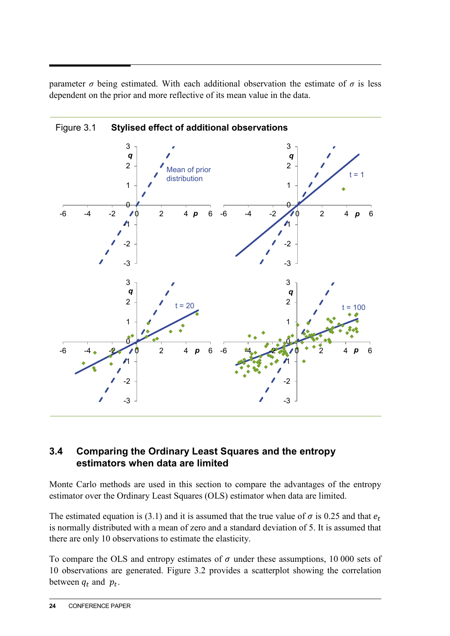parameter  $\sigma$  being estimated. With each additional observation the estimate of  $\sigma$  is less dependent on the prior and more reflective of its mean value in the data.



Figure 3.1 **Stylised effect of additional observations**

#### **3.4 Comparing the Ordinary Least Squares and the entropy estimators when data are limited**

Monte Carlo methods are used in this section to compare the advantages of the entropy estimator over the Ordinary Least Squares (OLS) estimator when data are limited.

The estimated equation is (3.1) and it is assumed that the true value of  $\sigma$  is 0.25 and that  $e_t$ is normally distributed with a mean of zero and a standard deviation of 5. It is assumed that there are only 10 observations to estimate the elasticity.

To compare the OLS and entropy estimates of  $\sigma$  under these assumptions, 10 000 sets of 10 observations are generated. Figure 3.2 provides a scatterplot showing the correlation between  $q_t$  and  $p_t$ .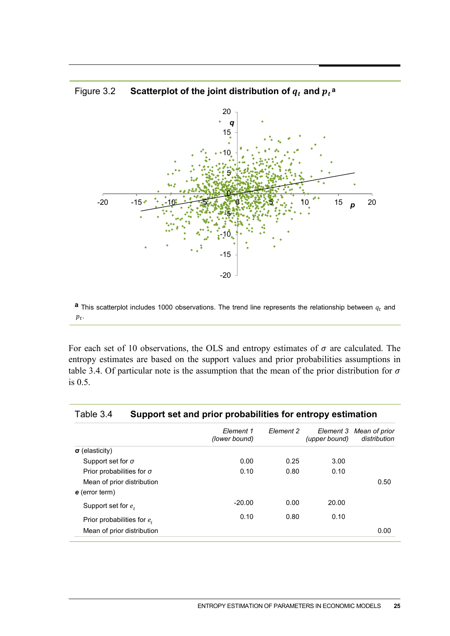

## Figure 3.2  $\phantom{0}$  **Scatterplot of the joint distribution of**  $q_t$  **and**  $p_t$ **<sup>a</sup>**

**a** This scatterplot includes 1000 observations. The trend line represents the relationship between  $q_t$  and  $p_t$ .

For each set of 10 observations, the OLS and entropy estimates of  $\sigma$  are calculated. The entropy estimates are based on the support values and prior probabilities assumptions in table 3.4. Of particular note is the assumption that the mean of the prior distribution for  $\sigma$ is 0.5.

| Element 1<br>(lower bound) | Element 2 | Element 3<br>(upper bound) | Mean of prior<br>distribution |
|----------------------------|-----------|----------------------------|-------------------------------|
|                            |           |                            |                               |
| 0.00                       | 0.25      | 3.00                       |                               |
| 0.10                       | 0.80      | 0.10                       |                               |
|                            |           |                            | 0.50                          |
|                            |           |                            |                               |
| $-20.00$                   | 0.00      | 20.00                      |                               |
| 0.10                       | 0.80      | 0.10                       |                               |
|                            |           |                            | 0.00                          |
|                            |           |                            |                               |

#### Table 3.4 **Support set and prior probabilities for entropy estimation**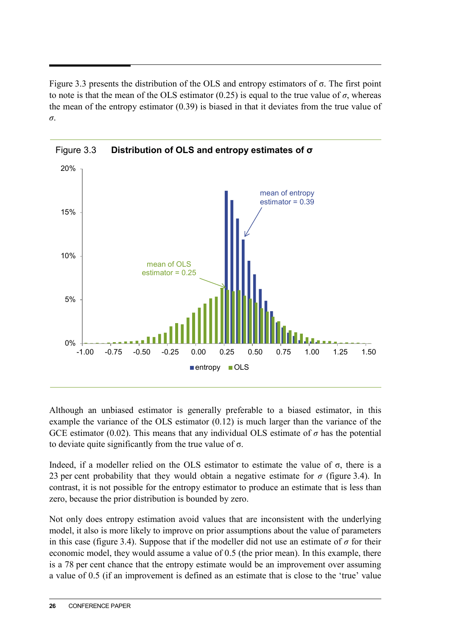Figure 3.3 presents the distribution of the OLS and entropy estimators of σ. The first point to note is that the mean of the OLS estimator  $(0.25)$  is equal to the true value of  $\sigma$ , whereas the mean of the entropy estimator (0.39) is biased in that it deviates from the true value of *σ*.



Although an unbiased estimator is generally preferable to a biased estimator, in this example the variance of the OLS estimator (0.12) is much larger than the variance of the GCE estimator (0.02). This means that any individual OLS estimate of  $\sigma$  has the potential to deviate quite significantly from the true value of  $\sigma$ .

Indeed, if a modeller relied on the OLS estimator to estimate the value of  $\sigma$ , there is a 23 per cent probability that they would obtain a negative estimate for *σ* (figure 3.4). In contrast, it is not possible for the entropy estimator to produce an estimate that is less than zero, because the prior distribution is bounded by zero.

Not only does entropy estimation avoid values that are inconsistent with the underlying model, it also is more likely to improve on prior assumptions about the value of parameters in this case (figure 3.4). Suppose that if the modeller did not use an estimate of  $\sigma$  for their economic model, they would assume a value of 0.5 (the prior mean). In this example, there is a 78 per cent chance that the entropy estimate would be an improvement over assuming a value of 0.5 (if an improvement is defined as an estimate that is close to the 'true' value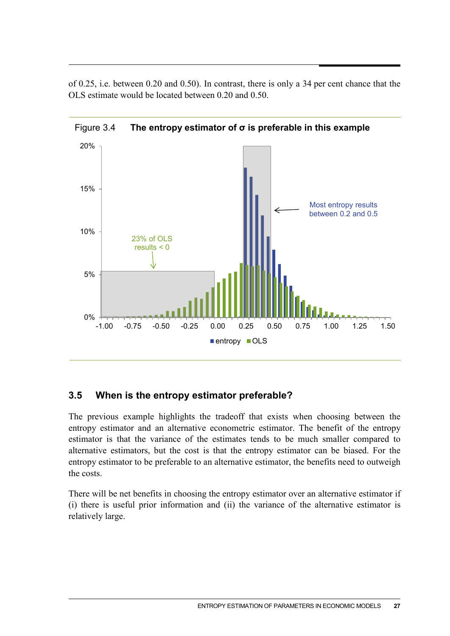of 0.25, i.e. between 0.20 and 0.50). In contrast, there is only a 34 per cent chance that the OLS estimate would be located between 0.20 and 0.50.



Figure 3.4 **The entropy estimator of σ is preferable in this example**

### **3.5 When is the entropy estimator preferable?**

The previous example highlights the tradeoff that exists when choosing between the entropy estimator and an alternative econometric estimator. The benefit of the entropy estimator is that the variance of the estimates tends to be much smaller compared to alternative estimators, but the cost is that the entropy estimator can be biased. For the entropy estimator to be preferable to an alternative estimator, the benefits need to outweigh the costs.

There will be net benefits in choosing the entropy estimator over an alternative estimator if (i) there is useful prior information and (ii) the variance of the alternative estimator is relatively large.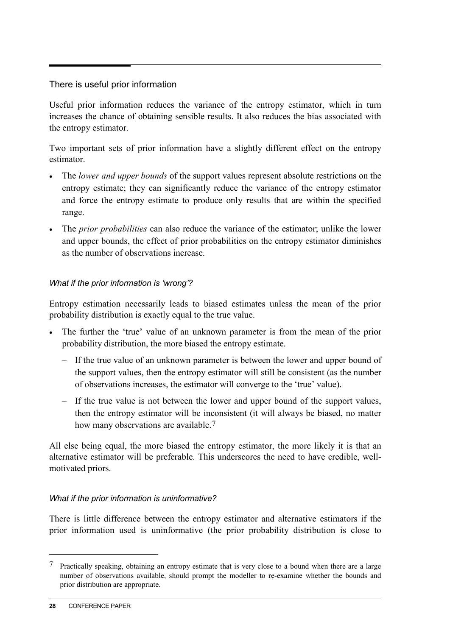#### There is useful prior information

Useful prior information reduces the variance of the entropy estimator, which in turn increases the chance of obtaining sensible results. It also reduces the bias associated with the entropy estimator.

Two important sets of prior information have a slightly different effect on the entropy estimator.

- The *lower and upper bounds* of the support values represent absolute restrictions on the entropy estimate; they can significantly reduce the variance of the entropy estimator and force the entropy estimate to produce only results that are within the specified range.
- The *prior probabilities* can also reduce the variance of the estimator; unlike the lower and upper bounds, the effect of prior probabilities on the entropy estimator diminishes as the number of observations increase.

#### *What if the prior information is 'wrong'?*

Entropy estimation necessarily leads to biased estimates unless the mean of the prior probability distribution is exactly equal to the true value.

- The further the 'true' value of an unknown parameter is from the mean of the prior probability distribution, the more biased the entropy estimate.
	- If the true value of an unknown parameter is between the lower and upper bound of the support values, then the entropy estimator will still be consistent (as the number of observations increases, the estimator will converge to the 'true' value).
	- If the true value is not between the lower and upper bound of the support values, then the entropy estimator will be inconsistent (it will always be biased, no matter how many observations are available.<sup>[7](#page-27-0)</sup>

All else being equal, the more biased the entropy estimator, the more likely it is that an alternative estimator will be preferable. This underscores the need to have credible, wellmotivated priors.

#### *What if the prior information is uninformative?*

There is little difference between the entropy estimator and alternative estimators if the prior information used is uninformative (the prior probability distribution is close to

 $\overline{a}$ 

<span id="page-27-0"></span><sup>7</sup> Practically speaking, obtaining an entropy estimate that is very close to a bound when there are a large number of observations available, should prompt the modeller to re-examine whether the bounds and prior distribution are appropriate.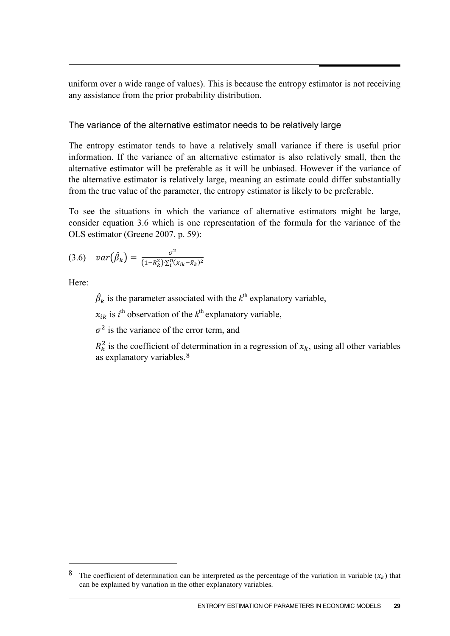uniform over a wide range of values). This is because the entropy estimator is not receiving any assistance from the prior probability distribution.

#### The variance of the alternative estimator needs to be relatively large

The entropy estimator tends to have a relatively small variance if there is useful prior information. If the variance of an alternative estimator is also relatively small, then the alternative estimator will be preferable as it will be unbiased. However if the variance of the alternative estimator is relatively large, meaning an estimate could differ substantially from the true value of the parameter, the entropy estimator is likely to be preferable.

To see the situations in which the variance of alternative estimators might be large, consider equation 3.6 which is one representation of the formula for the variance of the OLS estimator (Greene 2007, p. 59):

$$
(3.6) \quad var(\hat{\beta}_k) = \frac{\sigma^2}{(1 - R_k^2) \cdot \sum_i^n (x_{ik} - \bar{x}_k)^2}
$$

Here:

-

 $\hat{\beta}_k$  is the parameter associated with the  $k^{\text{th}}$  explanatory variable,

 $x_{ik}$  is  $i^{\text{th}}$  observation of the  $k^{\text{th}}$  explanatory variable,

 $\sigma^2$  is the variance of the error term, and

 $R_k^2$  is the coefficient of determination in a regression of  $x_k$ , using all other variables as explanatory variables.[8](#page-28-0)

<span id="page-28-0"></span><sup>&</sup>lt;sup>8</sup> The coefficient of determination can be interpreted as the percentage of the variation in variable  $(x_k)$  that can be explained by variation in the other explanatory variables.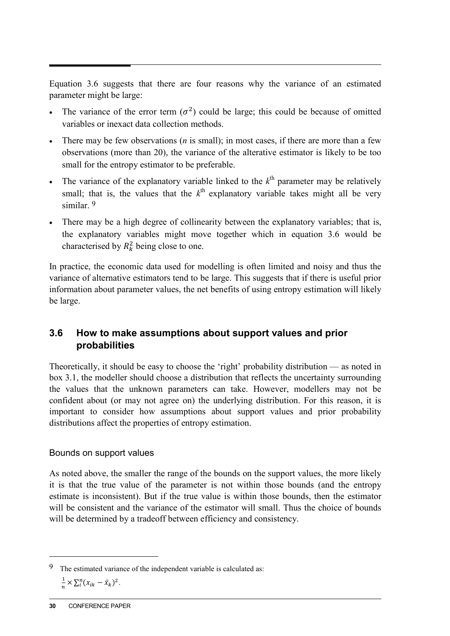Equation 3.6 suggests that there are four reasons why the variance of an estimated parameter might be large:

- The variance of the error term  $(\sigma^2)$  could be large; this could be because of omitted variables or inexact data collection methods.
- There may be few observations (*n* is small); in most cases, if there are more than a few observations (more than 20), the variance of the alterative estimator is likely to be too small for the entropy estimator to be preferable.
- The variance of the explanatory variable linked to the  $k<sup>th</sup>$  parameter may be relatively small; that is, the values that the  $k<sup>th</sup>$  explanatory variable takes might all be very similar<sup>[9](#page-29-0)</sup>
- There may be a high degree of collinearity between the explanatory variables; that is, the explanatory variables might move together which in equation 3.6 would be characterised by  $R_k^2$  being close to one.

In practice, the economic data used for modelling is often limited and noisy and thus the variance of alternative estimators tend to be large. This suggests that if there is useful prior information about parameter values, the net benefits of using entropy estimation will likely be large.

### **3.6 How to make assumptions about support values and prior probabilities**

Theoretically, it should be easy to choose the 'right' probability distribution — as noted in box 3.1, the modeller should choose a distribution that reflects the uncertainty surrounding the values that the unknown parameters can take. However, modellers may not be confident about (or may not agree on) the underlying distribution. For this reason, it is important to consider how assumptions about support values and prior probability distributions affect the properties of entropy estimation.

#### Bounds on support values

As noted above, the smaller the range of the bounds on the support values, the more likely it is that the true value of the parameter is not within those bounds (and the entropy estimate is inconsistent). But if the true value is within those bounds, then the estimator will be consistent and the variance of the estimator will small. Thus the choice of bounds will be determined by a tradeoff between efficiency and consistency.

 $\overline{a}$ 

<span id="page-29-0"></span><sup>9</sup> The estimated variance of the independent variable is calculated as:  $\frac{1}{n} \times \sum_{i}^{n} (x_{ik} - \bar{x}_k)^2$ .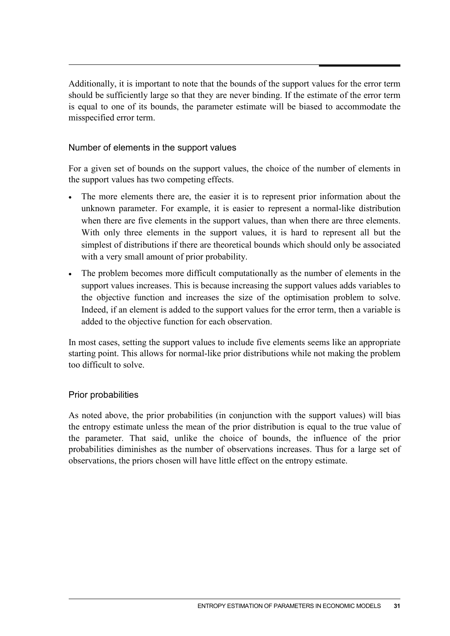Additionally, it is important to note that the bounds of the support values for the error term should be sufficiently large so that they are never binding. If the estimate of the error term is equal to one of its bounds, the parameter estimate will be biased to accommodate the misspecified error term.

#### Number of elements in the support values

For a given set of bounds on the support values, the choice of the number of elements in the support values has two competing effects.

- The more elements there are, the easier it is to represent prior information about the unknown parameter. For example, it is easier to represent a normal-like distribution when there are five elements in the support values, than when there are three elements. With only three elements in the support values, it is hard to represent all but the simplest of distributions if there are theoretical bounds which should only be associated with a very small amount of prior probability.
- The problem becomes more difficult computationally as the number of elements in the support values increases. This is because increasing the support values adds variables to the objective function and increases the size of the optimisation problem to solve. Indeed, if an element is added to the support values for the error term, then a variable is added to the objective function for each observation.

In most cases, setting the support values to include five elements seems like an appropriate starting point. This allows for normal-like prior distributions while not making the problem too difficult to solve.

#### Prior probabilities

As noted above, the prior probabilities (in conjunction with the support values) will bias the entropy estimate unless the mean of the prior distribution is equal to the true value of the parameter. That said, unlike the choice of bounds, the influence of the prior probabilities diminishes as the number of observations increases. Thus for a large set of observations, the priors chosen will have little effect on the entropy estimate.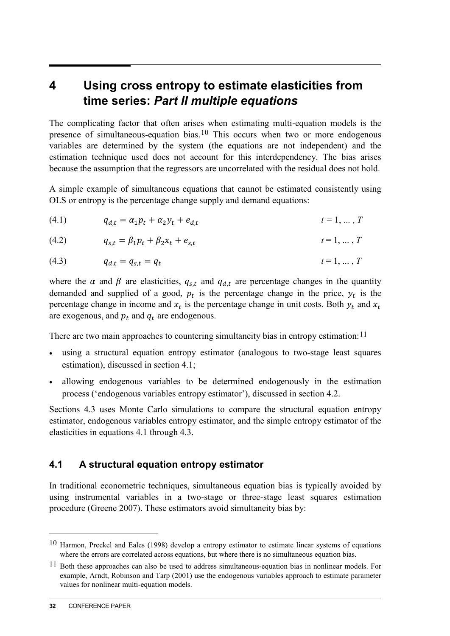## **4 Using cross entropy to estimate elasticities from time series:** *Part II multiple equations*

The complicating factor that often arises when estimating multi-equation models is the presence of simultaneous-equation bias.<sup>[10](#page-31-0)</sup> This occurs when two or more endogenous variables are determined by the system (the equations are not independent) and the estimation technique used does not account for this interdependency. The bias arises because the assumption that the regressors are uncorrelated with the residual does not hold.

A simple example of simultaneous equations that cannot be estimated consistently using OLS or entropy is the percentage change supply and demand equations:

(4.1) 
$$
q_{d,t} = \alpha_1 p_t + \alpha_2 y_t + e_{d,t} \qquad t = 1, ..., T
$$

(4.2) 
$$
q_{s,t} = \beta_1 p_t + \beta_2 x_t + e_{s,t} \qquad t = 1, ..., T
$$

(4.3) 
$$
q_{d,t} = q_{s,t} = q_t
$$
  $t = 1, ..., T$ 

where the  $\alpha$  and  $\beta$  are elasticities,  $q_{s,t}$  and  $q_{d,t}$  are percentage changes in the quantity demanded and supplied of a good,  $p_t$  is the percentage change in the price,  $y_t$  is the percentage change in income and  $x_t$  is the percentage change in unit costs. Both  $y_t$  and  $x_t$ are exogenous, and  $p_t$  and  $q_t$  are endogenous.

There are two main approaches to countering simultaneity bias in entropy estimation:<sup>[11](#page-31-1)</sup>

- using a structural equation entropy estimator (analogous to two-stage least squares estimation), discussed in section 4.1;
- allowing endogenous variables to be determined endogenously in the estimation process ('endogenous variables entropy estimator'), discussed in section 4.2.

Sections 4.3 uses Monte Carlo simulations to compare the structural equation entropy estimator, endogenous variables entropy estimator, and the simple entropy estimator of the elasticities in equations 4.1 through 4.3.

#### **4.1 A structural equation entropy estimator**

In traditional econometric techniques, simultaneous equation bias is typically avoided by using instrumental variables in a two-stage or three-stage least squares estimation procedure (Greene 2007). These estimators avoid simultaneity bias by:

 $\overline{a}$ 

<span id="page-31-0"></span><sup>10</sup> Harmon, Preckel and Eales (1998) develop a entropy estimator to estimate linear systems of equations where the errors are correlated across equations, but where there is no simultaneous equation bias.

<span id="page-31-1"></span><sup>&</sup>lt;sup>11</sup> Both these approaches can also be used to address simultaneous-equation bias in nonlinear models. For example, Arndt, Robinson and Tarp (2001) use the endogenous variables approach to estimate parameter values for nonlinear multi-equation models.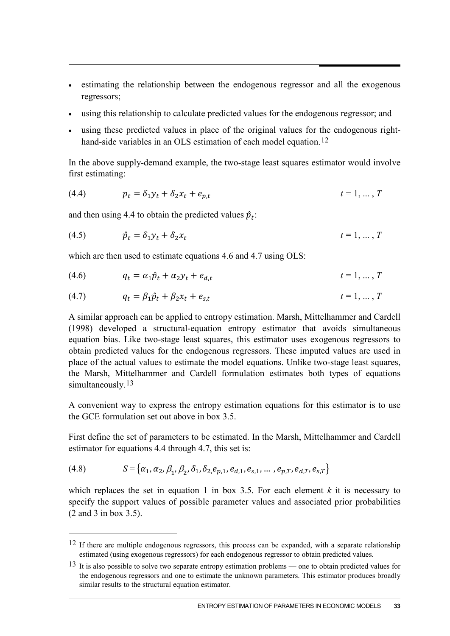- estimating the relationship between the endogenous regressor and all the exogenous regressors;
- using this relationship to calculate predicted values for the endogenous regressor; and
- using these predicted values in place of the original values for the endogenous right-hand-side variables in an OLS estimation of each model equation.<sup>[12](#page-32-0)</sup>

In the above supply-demand example, the two-stage least squares estimator would involve first estimating:

(4.4) 
$$
p_t = \delta_1 y_t + \delta_2 x_t + e_{p,t} \qquad t = 1, ..., T
$$

and then using 4.4 to obtain the predicted values  $\hat{p}_t$ :

$$
(4.5) \qquad \hat{p}_t = \delta_1 y_t + \delta_2 x_t \qquad \qquad t = 1, \dots, T
$$

which are then used to estimate equations 4.6 and 4.7 using OLS:

$$
(4.6) \t q_t = \alpha_1 \hat{p}_t + \alpha_2 y_t + e_{d,t} \t t = 1, \dots, T
$$

(4.7) 
$$
q_t = \beta_1 \hat{p}_t + \beta_2 x_t + e_{s,t} \qquad t = 1, ..., T
$$

A similar approach can be applied to entropy estimation. Marsh, Mittelhammer and Cardell (1998) developed a structural-equation entropy estimator that avoids simultaneous equation bias. Like two-stage least squares, this estimator uses exogenous regressors to obtain predicted values for the endogenous regressors. These imputed values are used in place of the actual values to estimate the model equations. Unlike two-stage least squares, the Marsh, Mittelhammer and Cardell formulation estimates both types of equations simultaneously.<sup>[13](#page-32-1)</sup>

A convenient way to express the entropy estimation equations for this estimator is to use the GCE formulation set out above in box 3.5.

First define the set of parameters to be estimated. In the Marsh, Mittelhammer and Cardell estimator for equations 4.4 through 4.7, this set is:

(4.8) 
$$
S = \{ \alpha_1, \alpha_2, \beta_1, \beta_2, \delta_1, \delta_2, e_{p,1}, e_{d,1}, e_{s,1}, \dots, e_{p,T}, e_{d,T}, e_{s,T} \}
$$

<u>.</u>

which replaces the set in equation 1 in box 3.5. For each element  $k$  it is necessary to specify the support values of possible parameter values and associated prior probabilities (2 and 3 in box 3.5).

<span id="page-32-0"></span><sup>&</sup>lt;sup>12</sup> If there are multiple endogenous regressors, this process can be expanded, with a separate relationship estimated (using exogenous regressors) for each endogenous regressor to obtain predicted values.

<span id="page-32-1"></span><sup>&</sup>lt;sup>13</sup> It is also possible to solve two separate entropy estimation problems — one to obtain predicted values for the endogenous regressors and one to estimate the unknown parameters. This estimator produces broadly similar results to the structural equation estimator.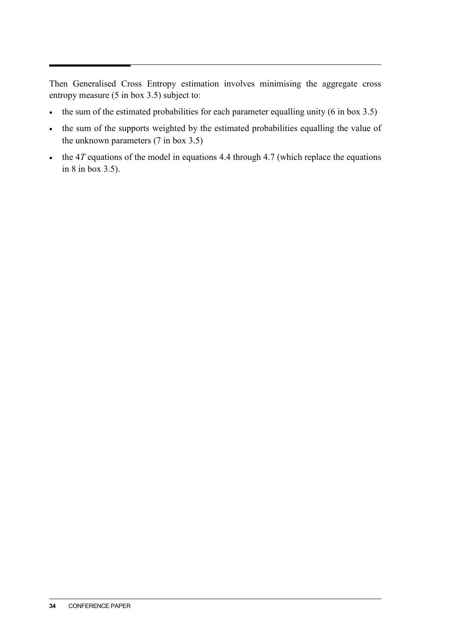Then Generalised Cross Entropy estimation involves minimising the aggregate cross entropy measure (5 in box 3.5) subject to:

- the sum of the estimated probabilities for each parameter equalling unity (6 in box 3.5)
- the sum of the supports weighted by the estimated probabilities equalling the value of the unknown parameters (7 in box 3.5)
- the 4*T* equations of the model in equations 4.4 through 4.7 (which replace the equations in 8 in box 3.5).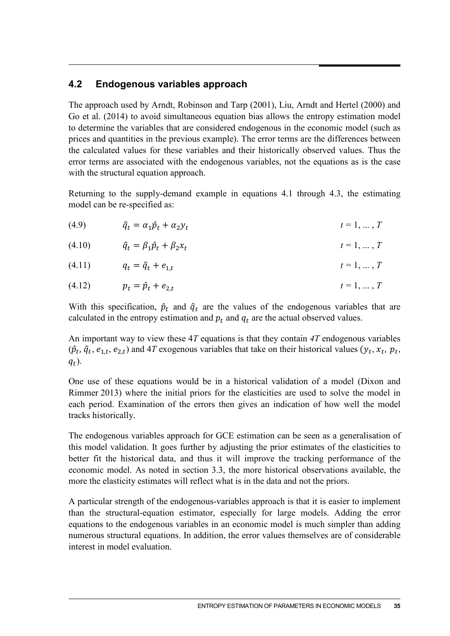#### **4.2 Endogenous variables approach**

The approach used by Arndt, Robinson and Tarp (2001), Liu, Arndt and Hertel (2000) and Go et al. (2014) to avoid simultaneous equation bias allows the entropy estimation model to determine the variables that are considered endogenous in the economic model (such as prices and quantities in the previous example). The error terms are the differences between the calculated values for these variables and their historically observed values. Thus the error terms are associated with the endogenous variables, not the equations as is the case with the structural equation approach.

Returning to the supply-demand example in equations 4.1 through 4.3, the estimating model can be re-specified as:

$$
(4.9) \qquad \qquad \hat{q}_t = \alpha_1 \hat{p}_t + \alpha_2 y_t \qquad \qquad t = 1, \dots, T
$$

(4.10) 
$$
\hat{q}_t = \beta_1 \hat{p}_t + \beta_2 x_t \qquad t = 1, ..., T
$$

$$
(4.11) \t q_t = \hat{q}_t + e_{1,t} \t t = 1, ..., T
$$

$$
(4.12) \t\t p_t = \hat{p}_t + e_{2,t} \t\t t = 1, ..., T
$$

With this specification,  $\hat{p}_t$  and  $\hat{q}_t$  are the values of the endogenous variables that are calculated in the entropy estimation and  $p_t$  and  $q_t$  are the actual observed values.

An important way to view these 4*T* equations is that they contain *4T* endogenous variables  $(\hat{p}_t, \hat{q}_t, e_{1,t}, e_{2,t})$  and 4*T* exogenous variables that take on their historical values  $(y_t, x_t, p_t, \hat{q}_t)$  $q_t$ ).

One use of these equations would be in a historical validation of a model (Dixon and Rimmer 2013) where the initial priors for the elasticities are used to solve the model in each period. Examination of the errors then gives an indication of how well the model tracks historically.

The endogenous variables approach for GCE estimation can be seen as a generalisation of this model validation. It goes further by adjusting the prior estimates of the elasticities to better fit the historical data, and thus it will improve the tracking performance of the economic model. As noted in section 3.3, the more historical observations available, the more the elasticity estimates will reflect what is in the data and not the priors.

A particular strength of the endogenous-variables approach is that it is easier to implement than the structural-equation estimator, especially for large models. Adding the error equations to the endogenous variables in an economic model is much simpler than adding numerous structural equations. In addition, the error values themselves are of considerable interest in model evaluation.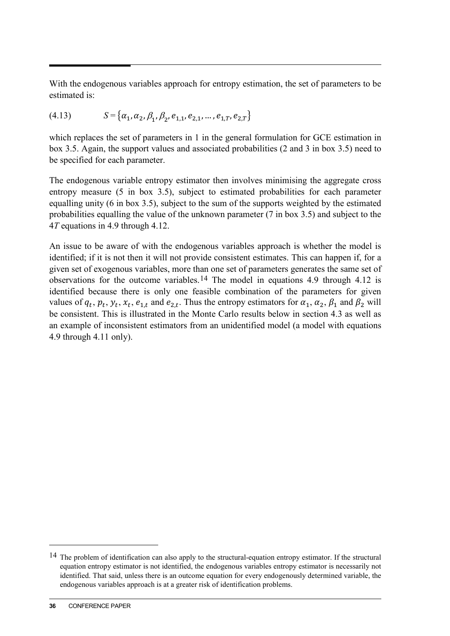With the endogenous variables approach for entropy estimation, the set of parameters to be estimated is:

(4.13) 
$$
S = {\alpha_1, \alpha_2, \beta_1, \beta_2, e_{1,1}, e_{2,1}, ..., e_{1,T}, e_{2,T}}
$$

which replaces the set of parameters in 1 in the general formulation for GCE estimation in box 3.5. Again, the support values and associated probabilities (2 and 3 in box 3.5) need to be specified for each parameter.

The endogenous variable entropy estimator then involves minimising the aggregate cross entropy measure (5 in box 3.5), subject to estimated probabilities for each parameter equalling unity (6 in box 3.5), subject to the sum of the supports weighted by the estimated probabilities equalling the value of the unknown parameter (7 in box 3.5) and subject to the 4*T* equations in 4.9 through 4.12.

An issue to be aware of with the endogenous variables approach is whether the model is identified; if it is not then it will not provide consistent estimates. This can happen if, for a given set of exogenous variables, more than one set of parameters generates the same set of observations for the outcome variables.[14](#page-35-0) The model in equations 4.9 through 4.12 is identified because there is only one feasible combination of the parameters for given values of  $q_t$ ,  $p_t$ ,  $y_t$ ,  $x_t$ ,  $e_{1,t}$  and  $e_{2,t}$ . Thus the entropy estimators for  $\alpha_1$ ,  $\alpha_2$ ,  $\beta_1$  and  $\beta_2$  will be consistent. This is illustrated in the Monte Carlo results below in section 4.3 as well as an example of inconsistent estimators from an unidentified model (a model with equations 4.9 through 4.11 only).

 $\overline{a}$ 

<span id="page-35-0"></span><sup>&</sup>lt;sup>14</sup> The problem of identification can also apply to the structural-equation entropy estimator. If the structural equation entropy estimator is not identified, the endogenous variables entropy estimator is necessarily not identified. That said, unless there is an outcome equation for every endogenously determined variable, the endogenous variables approach is at a greater risk of identification problems.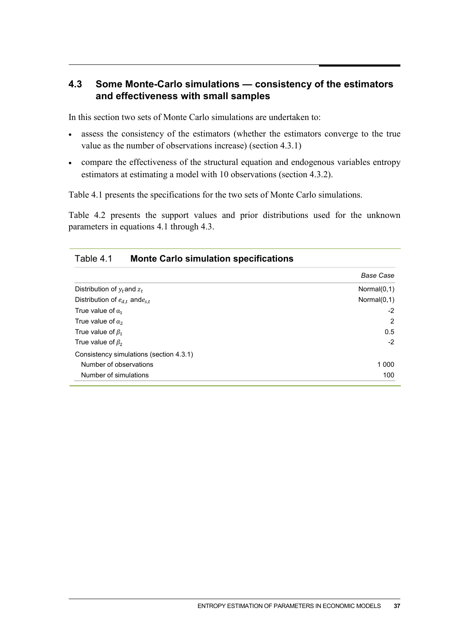### **4.3 Some Monte-Carlo simulations — consistency of the estimators and effectiveness with small samples**

In this section two sets of Monte Carlo simulations are undertaken to:

- assess the consistency of the estimators (whether the estimators converge to the true value as the number of observations increase) (section 4.3.1)
- compare the effectiveness of the structural equation and endogenous variables entropy estimators at estimating a model with 10 observations (section 4.3.2).

Table 4.1 presents the specifications for the two sets of Monte Carlo simulations.

Table 4.2 presents the support values and prior distributions used for the unknown parameters in equations 4.1 through 4.3.

|                                         | <b>Base Case</b> |
|-----------------------------------------|------------------|
| Distribution of $y_t$ and $z_t$         | Normal $(0,1)$   |
| Distribution of $e_{d,t}$ and $e_{s,t}$ | Normal $(0,1)$   |
| True value of $\alpha_1$                | $-2$             |
| True value of $\alpha_2$                | 2                |
| True value of $\beta_1$                 | 0.5              |
| True value of $\beta_2$                 | $-2$             |
| Consistency simulations (section 4.3.1) |                  |
| Number of observations                  | 1 0 0 0          |
| Number of simulations                   | 100              |

| Table 4.1 | <b>Monte Carlo simulation specifications</b> |  |
|-----------|----------------------------------------------|--|
|-----------|----------------------------------------------|--|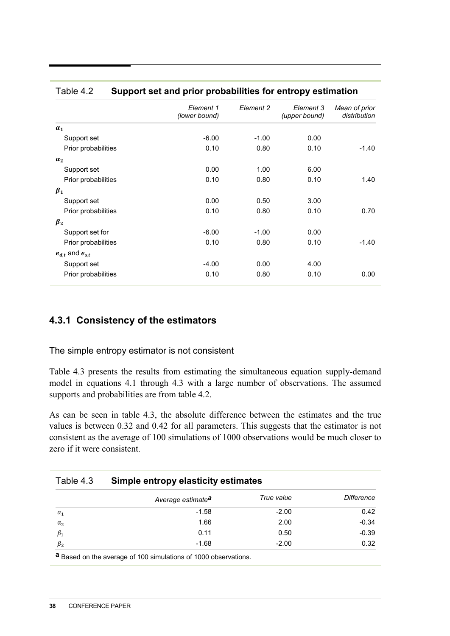|                         | Element 1<br>(lower bound) | Element 2 | Element 3<br>(upper bound) | Mean of prior<br>distribution |
|-------------------------|----------------------------|-----------|----------------------------|-------------------------------|
| $\alpha_1$              |                            |           |                            |                               |
| Support set             | $-6.00$                    | $-1.00$   | 0.00                       |                               |
| Prior probabilities     | 0.10                       | 0.80      | 0.10                       | $-1.40$                       |
| $\alpha_2$              |                            |           |                            |                               |
| Support set             | 0.00                       | 1.00      | 6.00                       |                               |
| Prior probabilities     | 0.10                       | 0.80      | 0.10                       | 1.40                          |
| $\beta_1$               |                            |           |                            |                               |
| Support set             | 0.00                       | 0.50      | 3.00                       |                               |
| Prior probabilities     | 0.10                       | 0.80      | 0.10                       | 0.70                          |
| $\beta_2$               |                            |           |                            |                               |
| Support set for         | $-6.00$                    | $-1.00$   | 0.00                       |                               |
| Prior probabilities     | 0.10                       | 0.80      | 0.10                       | $-1.40$                       |
| $e_{d,t}$ and $e_{s,t}$ |                            |           |                            |                               |
| Support set             | $-4.00$                    | 0.00      | 4.00                       |                               |
| Prior probabilities     | 0.10                       | 0.80      | 0.10                       | 0.00                          |

#### Table 4.2 **Support set and prior probabilities for entropy estimation**

#### **4.3.1 Consistency of the estimators**

The simple entropy estimator is not consistent

Table 4.3 presents the results from estimating the simultaneous equation supply-demand model in equations 4.1 through 4.3 with a large number of observations. The assumed supports and probabilities are from table 4.2.

As can be seen in table 4.3, the absolute difference between the estimates and the true values is between 0.32 and 0.42 for all parameters. This suggests that the estimator is not consistent as the average of 100 simulations of 1000 observations would be much closer to zero if it were consistent.

| Average estimate <sup>a</sup> | True value | Difference                          |
|-------------------------------|------------|-------------------------------------|
| $-1.58$                       | $-2.00$    | 0.42                                |
| 1.66                          | 2.00       | $-0.34$                             |
| 0.11                          | 0.50       | $-0.39$                             |
| $-1.68$                       | $-2.00$    | 0.32                                |
|                               |            | Simple entropy elasticity estimates |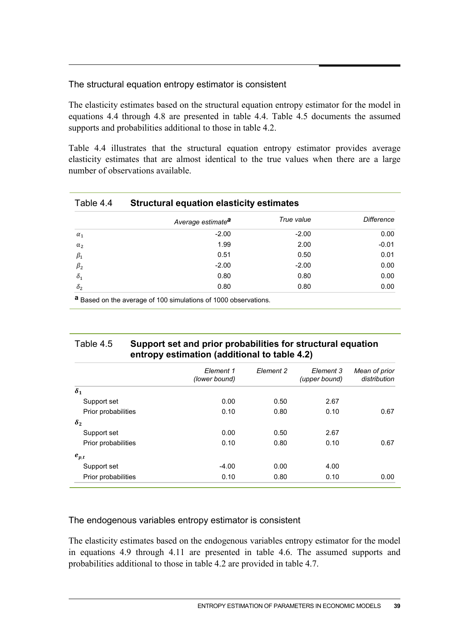#### The structural equation entropy estimator is consistent

The elasticity estimates based on the structural equation entropy estimator for the model in equations 4.4 through 4.8 are presented in table 4.4. Table 4.5 documents the assumed supports and probabilities additional to those in table 4.2.

Table 4.4 illustrates that the structural equation entropy estimator provides average elasticity estimates that are almost identical to the true values when there are a large number of observations available.

| Table 4.4  | <b>Structural equation elasticity estimates</b> |            |                   |  |  |
|------------|-------------------------------------------------|------------|-------------------|--|--|
|            | Average estimate <sup>a</sup>                   | True value | <b>Difference</b> |  |  |
| $\alpha_1$ | $-2.00$                                         | $-2.00$    | 0.00              |  |  |
| $\alpha_2$ | 1.99                                            | 2.00       | $-0.01$           |  |  |
| $\beta_1$  | 0.51                                            | 0.50       | 0.01              |  |  |
| $\beta_2$  | $-2.00$                                         | $-2.00$    | 0.00              |  |  |
| $\delta_1$ | 0.80                                            | 0.80       | 0.00              |  |  |
| $\delta_2$ | 0.80                                            | 0.80       | 0.00              |  |  |

**a** Based on the average of 100 simulations of 1000 observations.

#### Table 4.5 **Support set and prior probabilities for structural equation entropy estimation (additional to table 4.2)**

| Element 1<br>(lower bound) | Element 2 | Element 3<br>(upper bound) | Mean of prior<br>distribution |
|----------------------------|-----------|----------------------------|-------------------------------|
|                            |           |                            |                               |
| 0.00                       | 0.50      | 2.67                       |                               |
| 0.10                       | 0.80      | 0.10                       | 0.67                          |
|                            |           |                            |                               |
| 0.00                       | 0.50      | 2.67                       |                               |
| 0.10                       | 0.80      | 0.10                       | 0.67                          |
|                            |           |                            |                               |
| $-4.00$                    | 0.00      | 4.00                       |                               |
| 0.10                       | 0.80      | 0.10                       | 0.00                          |
|                            |           |                            |                               |

The endogenous variables entropy estimator is consistent

The elasticity estimates based on the endogenous variables entropy estimator for the model in equations 4.9 through 4.11 are presented in table 4.6. The assumed supports and probabilities additional to those in table 4.2 are provided in table 4.7.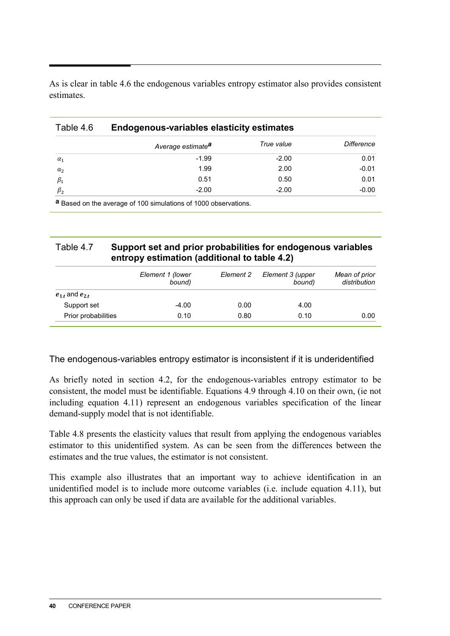As is clear in table 4.6 the endogenous variables entropy estimator also provides consistent estimates.

#### Table 4.6 **Endogenous-variables elasticity estimates**

|            | Average estimate <sup>a</sup> | True value | Difference |
|------------|-------------------------------|------------|------------|
| $\alpha_1$ | $-1.99$                       | $-2.00$    | 0.01       |
| $\alpha_2$ | 1.99                          | 2.00       | $-0.01$    |
| $\beta_1$  | 0.51                          | 0.50       | 0.01       |
| $\beta_2$  | $-2.00$                       | $-2.00$    | $-0.00$    |

**a** Based on the average of 100 simulations of 1000 observations.

#### Table 4.7 **Support set and prior probabilities for endogenous variables entropy estimation (additional to table 4.2)**

|                         | Element 1 (lower<br>bound) | Element 2 | Element 3 (upper<br>bound) | Mean of prior<br>distribution |
|-------------------------|----------------------------|-----------|----------------------------|-------------------------------|
| $e_{1,t}$ and $e_{2,t}$ |                            |           |                            |                               |
| Support set             | $-4.00$                    | 0.00      | 4.00                       |                               |
| Prior probabilities     | 0.10                       | 0.80      | 0.10                       | 0.00                          |

The endogenous-variables entropy estimator is inconsistent if it is underidentified

As briefly noted in section 4.2, for the endogenous-variables entropy estimator to be consistent, the model must be identifiable. Equations 4.9 through 4.10 on their own, (ie not including equation 4.11) represent an endogenous variables specification of the linear demand-supply model that is not identifiable.

Table 4.8 presents the elasticity values that result from applying the endogenous variables estimator to this unidentified system. As can be seen from the differences between the estimates and the true values, the estimator is not consistent.

This example also illustrates that an important way to achieve identification in an unidentified model is to include more outcome variables (i.e. include equation 4.11), but this approach can only be used if data are available for the additional variables.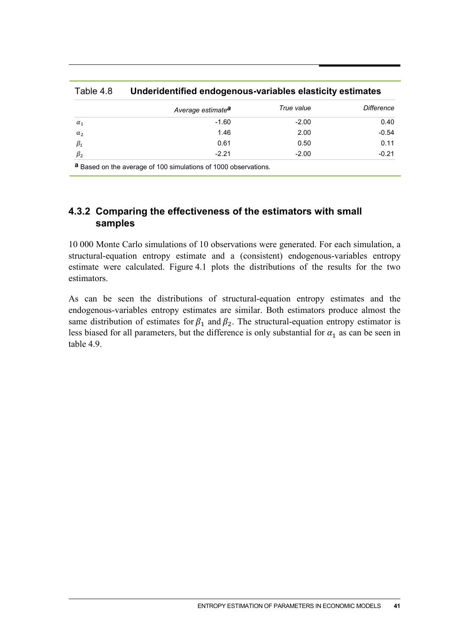|            | Average estimate <sup>a</sup> | True value | <b>Difference</b> |
|------------|-------------------------------|------------|-------------------|
| $\alpha_1$ | $-1.60$                       | $-2.00$    | 0.40              |
| $\alpha_2$ | 1.46                          | 2.00       | $-0.54$           |
| $\beta_1$  | 0.61                          | 0.50       | 0.11              |
| $\beta_2$  | $-2.21$                       | $-2.00$    | $-0.21$           |

Table 4.8 **Underidentified endogenous-variables elasticity estimates**

#### **4.3.2 Comparing the effectiveness of the estimators with small samples**

10 000 Monte Carlo simulations of 10 observations were generated. For each simulation, a structural-equation entropy estimate and a (consistent) endogenous-variables entropy estimate were calculated. Figure 4.1 plots the distributions of the results for the two estimators.

As can be seen the distributions of structural-equation entropy estimates and the endogenous-variables entropy estimates are similar. Both estimators produce almost the same distribution of estimates for  $\beta_1$  and  $\beta_2$ . The structural-equation entropy estimator is less biased for all parameters, but the difference is only substantial for  $\alpha_1$  as can be seen in table 4.9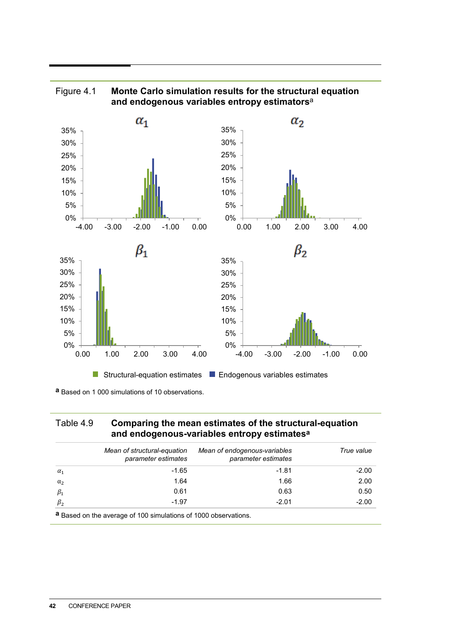

#### Figure 4.1 **Monte Carlo simulation results for the structural equation and endogenous variables entropy estimators**<sup>a</sup>

**a** Based on 1 000 simulations of 10 observations.

#### Table 4.9 **Comparing the mean estimates of the structural-equation and endogenous-variables entropy estimatesa**

|            | Mean of structural-equation<br>parameter estimates | Mean of endogenous-variables<br>parameter estimates | True value |
|------------|----------------------------------------------------|-----------------------------------------------------|------------|
| $\alpha_1$ | $-1.65$                                            | $-1.81$                                             | $-2.00$    |
| $\alpha_2$ | 1.64                                               | 1.66                                                | 2.00       |
| $\beta_1$  | 0.61                                               | 0.63                                                | 0.50       |
| $\beta_2$  | $-1.97$                                            | $-2.01$                                             | $-2.00$    |

**a** Based on the average of 100 simulations of 1000 observations.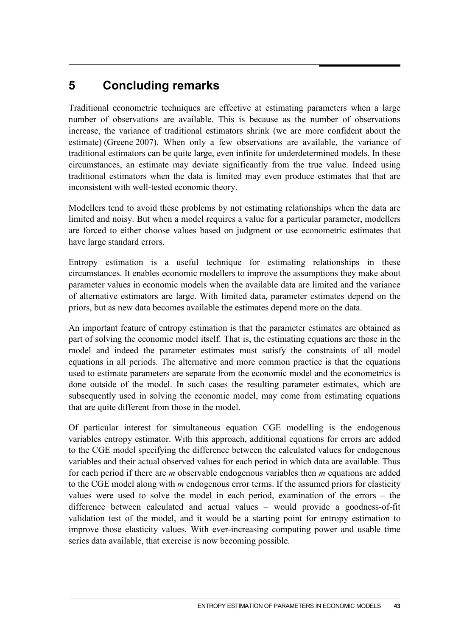## **5 Concluding remarks**

Traditional econometric techniques are effective at estimating parameters when a large number of observations are available. This is because as the number of observations increase, the variance of traditional estimators shrink (we are more confident about the estimate) (Greene 2007). When only a few observations are available, the variance of traditional estimators can be quite large, even infinite for underdetermined models. In these circumstances, an estimate may deviate significantly from the true value. Indeed using traditional estimators when the data is limited may even produce estimates that that are inconsistent with well-tested economic theory.

Modellers tend to avoid these problems by not estimating relationships when the data are limited and noisy. But when a model requires a value for a particular parameter, modellers are forced to either choose values based on judgment or use econometric estimates that have large standard errors.

Entropy estimation is a useful technique for estimating relationships in these circumstances. It enables economic modellers to improve the assumptions they make about parameter values in economic models when the available data are limited and the variance of alternative estimators are large. With limited data, parameter estimates depend on the priors, but as new data becomes available the estimates depend more on the data.

An important feature of entropy estimation is that the parameter estimates are obtained as part of solving the economic model itself. That is, the estimating equations are those in the model and indeed the parameter estimates must satisfy the constraints of all model equations in all periods. The alternative and more common practice is that the equations used to estimate parameters are separate from the economic model and the econometrics is done outside of the model. In such cases the resulting parameter estimates, which are subsequently used in solving the economic model, may come from estimating equations that are quite different from those in the model.

Of particular interest for simultaneous equation CGE modelling is the endogenous variables entropy estimator. With this approach, additional equations for errors are added to the CGE model specifying the difference between the calculated values for endogenous variables and their actual observed values for each period in which data are available. Thus for each period if there are *m* observable endogenous variables then *m* equations are added to the CGE model along with *m* endogenous error terms. If the assumed priors for elasticity values were used to solve the model in each period, examination of the errors – the difference between calculated and actual values – would provide a goodness-of-fit validation test of the model, and it would be a starting point for entropy estimation to improve those elasticity values. With ever-increasing computing power and usable time series data available, that exercise is now becoming possible.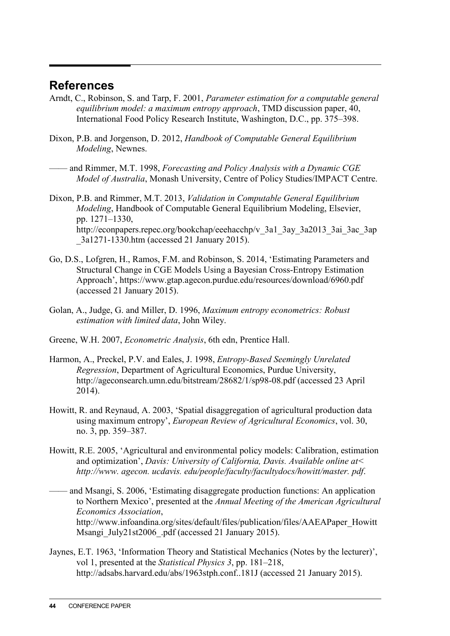## **References**

- Arndt, C., Robinson, S. and Tarp, F. 2001, *Parameter estimation for a computable general equilibrium model: a maximum entropy approach*, TMD discussion paper, 40, International Food Policy Research Institute, Washington, D.C., pp. 375–398.
- Dixon, P.B. and Jorgenson, D. 2012, *Handbook of Computable General Equilibrium Modeling*, Newnes.
- —— and Rimmer, M.T. 1998, *Forecasting and Policy Analysis with a Dynamic CGE Model of Australia*, Monash University, Centre of Policy Studies/IMPACT Centre.
- Dixon, P.B. and Rimmer, M.T. 2013, *Validation in Computable General Equilibrium Modeling*, Handbook of Computable General Equilibrium Modeling, Elsevier, pp. 1271–1330, http://econpapers.repec.org/bookchap/eeehacchp/v\_3a1\_3ay\_3a2013\_3ai\_3ac\_3ap \_3a1271-1330.htm (accessed 21 January 2015).
- Go, D.S., Lofgren, H., Ramos, F.M. and Robinson, S. 2014, 'Estimating Parameters and Structural Change in CGE Models Using a Bayesian Cross-Entropy Estimation Approach', https://www.gtap.agecon.purdue.edu/resources/download/6960.pdf (accessed 21 January 2015).
- Golan, A., Judge, G. and Miller, D. 1996, *Maximum entropy econometrics: Robust estimation with limited data*, John Wiley.
- Greene, W.H. 2007, *Econometric Analysis*, 6th edn, Prentice Hall.
- Harmon, A., Preckel, P.V. and Eales, J. 1998, *Entropy-Based Seemingly Unrelated Regression*, Department of Agricultural Economics, Purdue University, http://ageconsearch.umn.edu/bitstream/28682/1/sp98-08.pdf (accessed 23 April 2014).
- Howitt, R. and Reynaud, A. 2003, 'Spatial disaggregation of agricultural production data using maximum entropy', *European Review of Agricultural Economics*, vol. 30, no. 3, pp. 359–387.
- Howitt, R.E. 2005, 'Agricultural and environmental policy models: Calibration, estimation and optimization', *Davis: University of California, Davis. Available online at< http://www. agecon. ucdavis. edu/people/faculty/facultydocs/howitt/master. pdf*.
- —— and Msangi, S. 2006, 'Estimating disaggregate production functions: An application to Northern Mexico', presented at the *Annual Meeting of the American Agricultural Economics Association*, http://www.infoandina.org/sites/default/files/publication/files/AAEAPaper\_Howitt Msangi July21st2006 .pdf (accessed 21 January 2015).
- Jaynes, E.T. 1963, 'Information Theory and Statistical Mechanics (Notes by the lecturer)', vol 1, presented at the *Statistical Physics 3*, pp. 181–218, http://adsabs.harvard.edu/abs/1963stph.conf..181J (accessed 21 January 2015).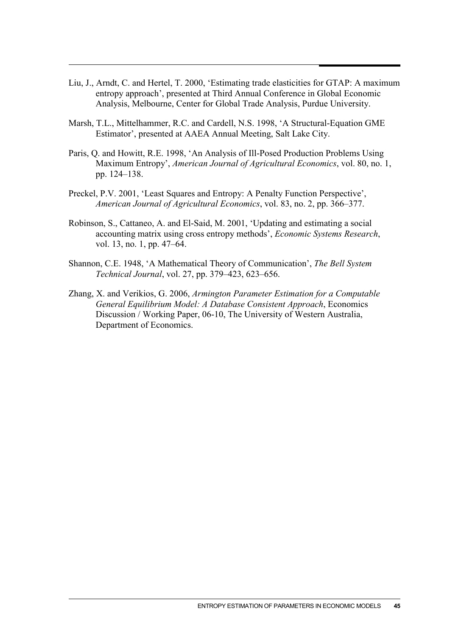- Liu, J., Arndt, C. and Hertel, T. 2000, 'Estimating trade elasticities for GTAP: A maximum entropy approach', presented at Third Annual Conference in Global Economic Analysis, Melbourne, Center for Global Trade Analysis, Purdue University.
- Marsh, T.L., Mittelhammer, R.C. and Cardell, N.S. 1998, 'A Structural-Equation GME Estimator', presented at AAEA Annual Meeting, Salt Lake City.
- Paris, Q. and Howitt, R.E. 1998, 'An Analysis of Ill-Posed Production Problems Using Maximum Entropy', *American Journal of Agricultural Economics*, vol. 80, no. 1, pp. 124–138.
- Preckel, P.V. 2001, 'Least Squares and Entropy: A Penalty Function Perspective', *American Journal of Agricultural Economics*, vol. 83, no. 2, pp. 366–377.
- Robinson, S., Cattaneo, A. and El-Said, M. 2001, 'Updating and estimating a social accounting matrix using cross entropy methods', *Economic Systems Research*, vol. 13, no. 1, pp. 47–64.
- Shannon, C.E. 1948, 'A Mathematical Theory of Communication', *The Bell System Technical Journal*, vol. 27, pp. 379–423, 623–656.
- Zhang, X. and Verikios, G. 2006, *Armington Parameter Estimation for a Computable General Equilibrium Model: A Database Consistent Approach*, Economics Discussion / Working Paper, 06-10, The University of Western Australia, Department of Economics.